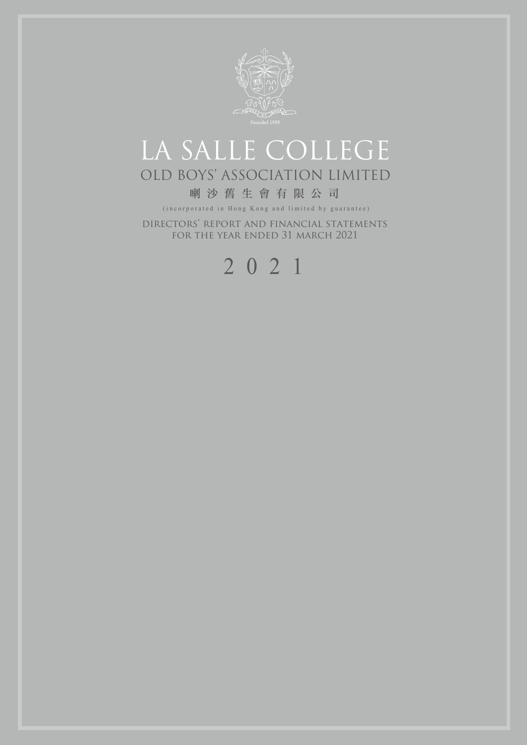

# LA SALLE COLLEGE OLD BOYS' ASSOCIATION LIMITED

# 喇沙舊生會有限公司

(incorporated in Hong Kong and limited by guarantee)

directors' report and financial statements for the year ended 31 march 2021

# 2021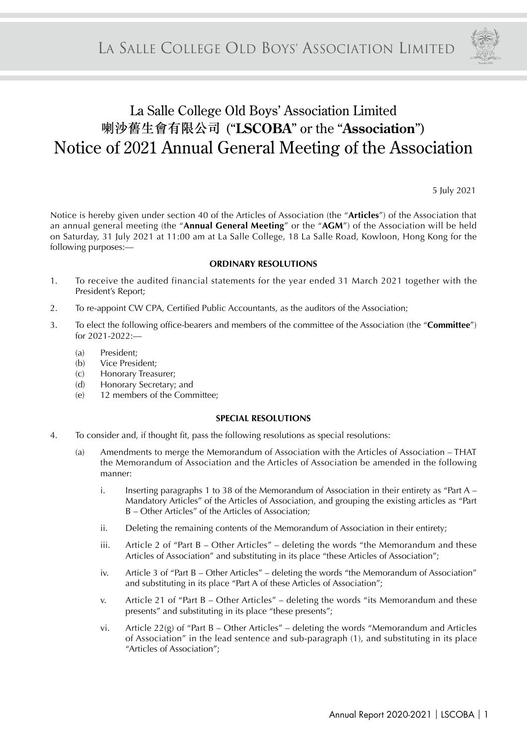

# La Salle College Old Boys' Association Limited 喇沙舊生會有限公司 ("**LSCOBA**" or the "**Association**") Notice of 2021 Annual General Meeting of the Association

5 July 2021

Notice is hereby given under section 40 of the Articles of Association (the "**Articles**") of the Association that an annual general meeting (the "**Annual General Meeting**" or the "**AGM**") of the Association will be held on Saturday, 31 July 2021 at 11:00 am at La Salle College, 18 La Salle Road, Kowloon, Hong Kong for the following purposes:—

#### **ORDINARY RESOLUTIONS**

- 1. To receive the audited financial statements for the year ended 31 March 2021 together with the President's Report;
- 2. To re-appoint CW CPA, Certified Public Accountants, as the auditors of the Association:
- 3. To elect the following office-bearers and members of the committee of the Association (the "**Committee**") for 2021-2022:—
	- (a) President;
	- (b) Vice President;
	- (c) Honorary Treasurer;
	- (d) Honorary Secretary; and
	- (e) 12 members of the Committee;

#### **SPECIAL RESOLUTIONS**

- 4. To consider and, if thought fit, pass the following resolutions as special resolutions:
	- (a) Amendments to merge the Memorandum of Association with the Articles of Association THAT the Memorandum of Association and the Articles of Association be amended in the following manner:
		- i. Inserting paragraphs 1 to 38 of the Memorandum of Association in their entirety as "Part A Mandatory Articles" of the Articles of Association, and grouping the existing articles as "Part B – Other Articles" of the Articles of Association;
		- ii. Deleting the remaining contents of the Memorandum of Association in their entirety;
		- iii. Article 2 of "Part B Other Articles" deleting the words "the Memorandum and these Articles of Association" and substituting in its place "these Articles of Association";
		- iv. Article 3 of "Part B Other Articles" deleting the words "the Memorandum of Association" and substituting in its place "Part A of these Articles of Association";
		- v. Article 21 of "Part B Other Articles" deleting the words "its Memorandum and these presents" and substituting in its place "these presents";
		- vi. Article 22(g) of "Part  $B -$ Other Articles" deleting the words "Memorandum and Articles of Association" in the lead sentence and sub-paragraph (1), and substituting in its place "Articles of Association";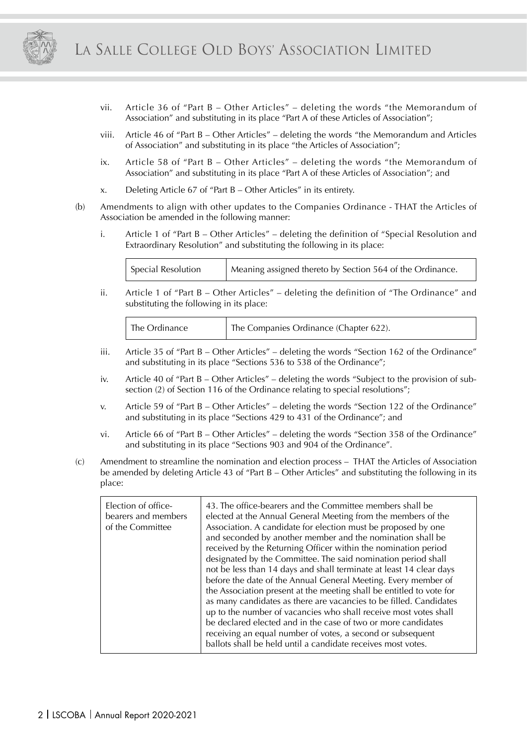

- vii. Article 36 of "Part B Other Articles" deleting the words "the Memorandum of Association" and substituting in its place "Part A of these Articles of Association";
- viii. Article 46 of "Part B Other Articles" deleting the words "the Memorandum and Articles of Association" and substituting in its place "the Articles of Association";
- ix. Article 58 of "Part B Other Articles" deleting the words "the Memorandum of Association" and substituting in its place "Part A of these Articles of Association"; and
- x. Deleting Article 67 of "Part B Other Articles" in its entirety.
- (b) Amendments to align with other updates to the Companies Ordinance THAT the Articles of Association be amended in the following manner:
	- i. Article 1 of "Part B Other Articles" deleting the definition of "Special Resolution and Extraordinary Resolution" and substituting the following in its place:

| Special Resolution | Meaning assigned thereto by Section 564 of the Ordinance. |
|--------------------|-----------------------------------------------------------|
|--------------------|-----------------------------------------------------------|

ii. Article 1 of "Part B – Other Articles" – deleting the definition of "The Ordinance" and substituting the following in its place:

| The Ordinance | The Companies Ordinance (Chapter 622). |
|---------------|----------------------------------------|
|---------------|----------------------------------------|

- iii. Article 35 of "Part B Other Articles" deleting the words "Section 162 of the Ordinance" and substituting in its place "Sections 536 to 538 of the Ordinance";
- iv. Article 40 of "Part B Other Articles" deleting the words "Subject to the provision of subsection (2) of Section 116 of the Ordinance relating to special resolutions";
- v. Article 59 of "Part B Other Articles" deleting the words "Section 122 of the Ordinance" and substituting in its place "Sections 429 to 431 of the Ordinance"; and
- vi. Article 66 of "Part B Other Articles" deleting the words "Section 358 of the Ordinance" and substituting in its place "Sections 903 and 904 of the Ordinance".
- (c) Amendment to streamline the nomination and election process THAT the Articles of Association be amended by deleting Article 43 of "Part B – Other Articles" and substituting the following in its place:

| Election of office-<br>bearers and members<br>of the Committee | 43. The office-bearers and the Committee members shall be<br>elected at the Annual General Meeting from the members of the<br>Association. A candidate for election must be proposed by one<br>and seconded by another member and the nomination shall be<br>received by the Returning Officer within the nomination period<br>designated by the Committee. The said nomination period shall<br>not be less than 14 days and shall terminate at least 14 clear days<br>before the date of the Annual General Meeting. Every member of<br>the Association present at the meeting shall be entitled to vote for<br>as many candidates as there are vacancies to be filled. Candidates<br>up to the number of vacancies who shall receive most votes shall<br>be declared elected and in the case of two or more candidates<br>receiving an equal number of votes, a second or subsequent<br>ballots shall be held until a candidate receives most votes. |
|----------------------------------------------------------------|--------------------------------------------------------------------------------------------------------------------------------------------------------------------------------------------------------------------------------------------------------------------------------------------------------------------------------------------------------------------------------------------------------------------------------------------------------------------------------------------------------------------------------------------------------------------------------------------------------------------------------------------------------------------------------------------------------------------------------------------------------------------------------------------------------------------------------------------------------------------------------------------------------------------------------------------------------|
|----------------------------------------------------------------|--------------------------------------------------------------------------------------------------------------------------------------------------------------------------------------------------------------------------------------------------------------------------------------------------------------------------------------------------------------------------------------------------------------------------------------------------------------------------------------------------------------------------------------------------------------------------------------------------------------------------------------------------------------------------------------------------------------------------------------------------------------------------------------------------------------------------------------------------------------------------------------------------------------------------------------------------------|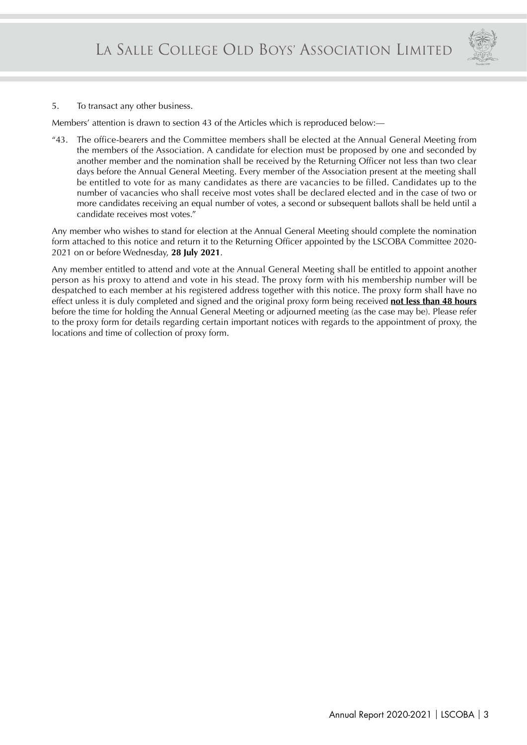

5. To transact any other business.

Members' attention is drawn to section 43 of the Articles which is reproduced below:—

"43. The office-bearers and the Committee members shall be elected at the Annual General Meeting from the members of the Association. A candidate for election must be proposed by one and seconded by another member and the nomination shall be received by the Returning Officer not less than two clear days before the Annual General Meeting. Every member of the Association present at the meeting shall be entitled to vote for as many candidates as there are vacancies to be filled. Candidates up to the number of vacancies who shall receive most votes shall be declared elected and in the case of two or more candidates receiving an equal number of votes, a second or subsequent ballots shall be held until a candidate receives most votes."

Any member who wishes to stand for election at the Annual General Meeting should complete the nomination form attached to this notice and return it to the Returning Officer appointed by the LSCOBA Committee 2020- 2021 on or before Wednesday, **28 July 2021**.

Any member entitled to attend and vote at the Annual General Meeting shall be entitled to appoint another person as his proxy to attend and vote in his stead. The proxy form with his membership number will be despatched to each member at his registered address together with this notice. The proxy form shall have no effect unless it is duly completed and signed and the original proxy form being received **not less than 48 hours** before the time for holding the Annual General Meeting or adjourned meeting (as the case may be). Please refer to the proxy form for details regarding certain important notices with regards to the appointment of proxy, the locations and time of collection of proxy form.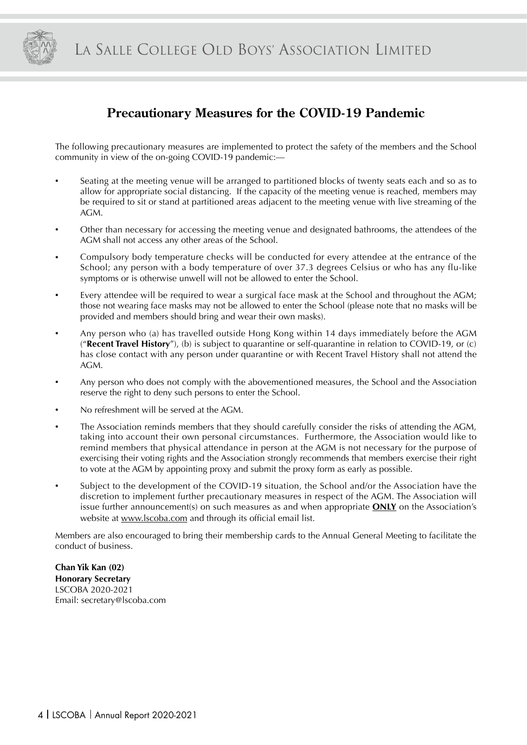

# **Precautionary Measures for the COVID-19 Pandemic**

The following precautionary measures are implemented to protect the safety of the members and the School community in view of the on-going COVID-19 pandemic:—

- Seating at the meeting venue will be arranged to partitioned blocks of twenty seats each and so as to allow for appropriate social distancing. If the capacity of the meeting venue is reached, members may be required to sit or stand at partitioned areas adjacent to the meeting venue with live streaming of the AGM.
- Other than necessary for accessing the meeting venue and designated bathrooms, the attendees of the AGM shall not access any other areas of the School.
- Compulsory body temperature checks will be conducted for every attendee at the entrance of the School; any person with a body temperature of over 37.3 degrees Celsius or who has any flu-like symptoms or is otherwise unwell will not be allowed to enter the School.
- Every attendee will be required to wear a surgical face mask at the School and throughout the AGM; those not wearing face masks may not be allowed to enter the School (please note that no masks will be provided and members should bring and wear their own masks).
- Any person who (a) has travelled outside Hong Kong within 14 days immediately before the AGM ("**Recent Travel History**"), (b) is subject to quarantine or self-quarantine in relation to COVID-19, or (c) has close contact with any person under quarantine or with Recent Travel History shall not attend the AGM.
- Any person who does not comply with the abovementioned measures, the School and the Association reserve the right to deny such persons to enter the School.
- No refreshment will be served at the AGM.
- The Association reminds members that they should carefully consider the risks of attending the AGM, taking into account their own personal circumstances. Furthermore, the Association would like to remind members that physical attendance in person at the AGM is not necessary for the purpose of exercising their voting rights and the Association strongly recommends that members exercise their right to vote at the AGM by appointing proxy and submit the proxy form as early as possible.
- Subject to the development of the COVID-19 situation, the School and/or the Association have the discretion to implement further precautionary measures in respect of the AGM. The Association will issue further announcement(s) on such measures as and when appropriate **ONLY** on the Association's website at www.lscoba.com and through its official email list.

Members are also encouraged to bring their membership cards to the Annual General Meeting to facilitate the conduct of business.

**Chan Yik Kan (02) Honorary Secretary** LSCOBA 2020-2021 Email: secretary@lscoba.com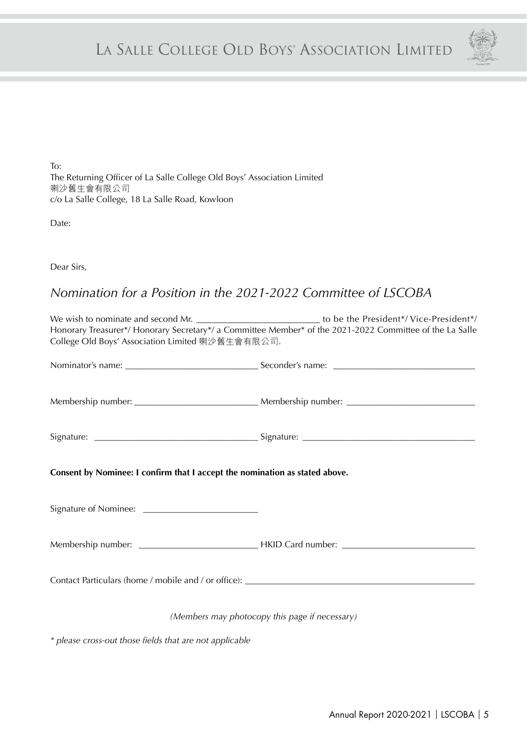

To: The Returning Officer of La Salle College Old Boys' Association Limited 喇沙舊生會有限公司 c/o La Salle College, 18 La Salle Road, Kowloon

Date:

Dear Sirs,

# *Nomination for a Position in the 2021-2022 Committee of LSCOBA*

|                                                                             | We wish to nominate and second Mr. ________________________________ to be the President*/Vice-President*/ |
|-----------------------------------------------------------------------------|-----------------------------------------------------------------------------------------------------------|
| College Old Boys' Association Limited 喇沙舊生會有限公司.                            | Honorary Treasurer*/ Honorary Secretary*/ a Committee Member* of the 2021-2022 Committee of the La Salle  |
|                                                                             |                                                                                                           |
|                                                                             |                                                                                                           |
|                                                                             |                                                                                                           |
| Consent by Nominee: I confirm that I accept the nomination as stated above. |                                                                                                           |
|                                                                             |                                                                                                           |
|                                                                             |                                                                                                           |
|                                                                             |                                                                                                           |
|                                                                             | (Members may photocopy this page if necessary)                                                            |

*\* please cross-out those fields that are not applicable*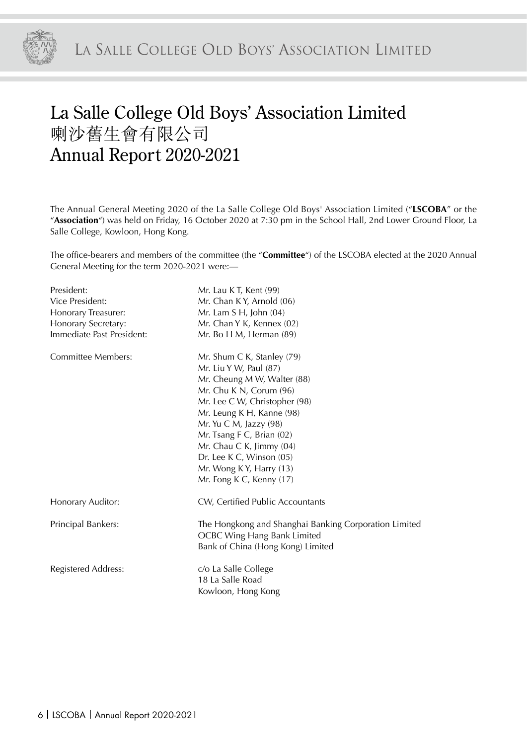

# La Salle College Old Boys' Association Limited 喇沙舊生會有限公司 Annual Report 2020-2021

The Annual General Meeting 2020 of the La Salle College Old Boys' Association Limited ("**LSCOBA**" or the "**Association**") was held on Friday, 16 October 2020 at 7:30 pm in the School Hall, 2nd Lower Ground Floor, La Salle College, Kowloon, Hong Kong.

The office-bearers and members of the committee (the "**Committee**") of the LSCOBA elected at the 2020 Annual General Meeting for the term 2020-2021 were:—

| President:<br>Vice President:<br><b>Honorary Treasurer:</b><br>Honorary Secretary:<br>Immediate Past President: | Mr. Lau KT, Kent (99)<br>Mr. Chan KY, Arnold (06)<br>Mr. Lam $S$ H, John $(04)$<br>Mr. Chan Y K, Kennex (02)<br>Mr. Bo H M, Herman (89)                                                                                                                                                                                                            |
|-----------------------------------------------------------------------------------------------------------------|----------------------------------------------------------------------------------------------------------------------------------------------------------------------------------------------------------------------------------------------------------------------------------------------------------------------------------------------------|
| <b>Committee Members:</b>                                                                                       | Mr. Shum C K, Stanley (79)<br>Mr. Liu Y W, Paul (87)<br>Mr. Cheung M W, Walter (88)<br>Mr. Chu K N, Corum (96)<br>Mr. Lee C W, Christopher (98)<br>Mr. Leung K H, Kanne (98)<br>Mr. Yu C M, Jazzy (98)<br>Mr. Tsang F C, Brian (02)<br>Mr. Chau C K, Jimmy (04)<br>Dr. Lee K C, Winson (05)<br>Mr. Wong KY, Harry (13)<br>Mr. Fong K C, Kenny (17) |
| Honorary Auditor:                                                                                               | CW, Certified Public Accountants                                                                                                                                                                                                                                                                                                                   |
| Principal Bankers:                                                                                              | The Hongkong and Shanghai Banking Corporation Limited<br>OCBC Wing Hang Bank Limited<br>Bank of China (Hong Kong) Limited                                                                                                                                                                                                                          |
| <b>Registered Address:</b>                                                                                      | c/o La Salle College<br>18 La Salle Road<br>Kowloon, Hong Kong                                                                                                                                                                                                                                                                                     |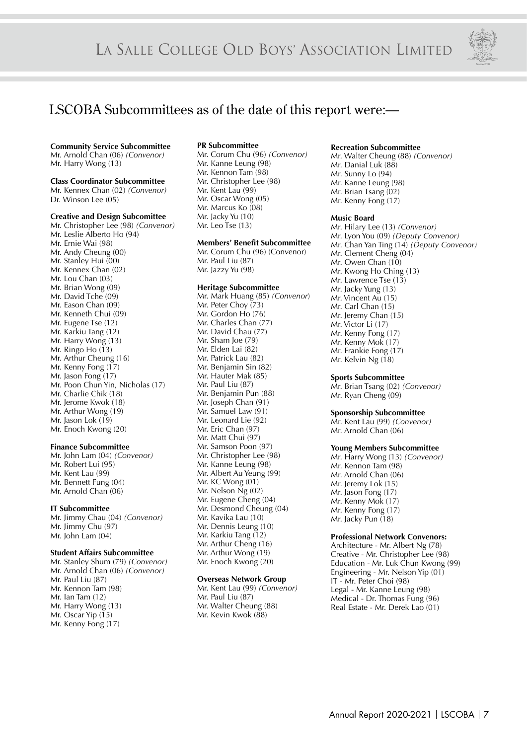

# LSCOBA Subcommittees as of the date of this report were:—

**Community Service Subcommittee** Mr. Arnold Chan (06) *(Convenor)* Mr. Harry Wong (13)

#### **Class Coordinator Subcommittee**

Mr. Kennex Chan (02) *(Convenor)* Dr. Winson Lee (05)

#### **Creative and Design Subcomittee**

Mr. Christopher Lee (98) *(Convenor)* Mr. Leslie Alberto Ho (94) Mr. Ernie Wai (98) Mr. Andy Cheung (00) Mr. Stanley Hui (00) Mr. Kennex Chan (02) Mr. Lou Chan (03) Mr. Brian Wong (09) Mr. David Tche (09) Mr. Eason Chan (09) Mr. Kenneth Chui (09) Mr. Eugene Tse (12) Mr. Karkiu Tang (12) Mr. Harry Wong (13) Mr. Ringo Ho (13) Mr. Arthur Cheung (16) Mr. Kenny Fong (17) Mr. Jason Fong (17) Mr. Poon Chun Yin, Nicholas (17) Mr. Charlie Chik (18) Mr. Jerome Kwok (18) Mr. Arthur Wong (19) Mr. Jason Lok (19) Mr. Enoch Kwong (20)

#### **Finance Subcommittee**

Mr. John Lam (04) *(Convenor)* Mr. Robert Lui (95) Mr. Kent Lau (99) Mr. Bennett Fung (04) Mr. Arnold Chan (06)

#### **IT Subcommittee**

Mr. Jimmy Chau (04) *(Convenor)*  Mr. Jimmy Chu (97) Mr. John Lam (04)

#### **Student Affairs Subcommittee**

Mr. Stanley Shum (79) *(Convenor)* Mr. Arnold Chan (06) *(Convenor)* Mr. Paul Liu (87) Mr. Kennon Tam (98) Mr. Ian Tam (12) Mr. Harry Wong (13) Mr. Oscar Yip (15) Mr. Kenny Fong (17)

#### **PR Subcommittee**

Mr. Corum Chu (96) *(Convenor)*  Mr. Kanne Leung (98) Mr. Kennon Tam (98) Mr. Christopher Lee (98) Mr. Kent Lau (99) Mr. Oscar Wong (05) Mr. Marcus Ko (08) Mr. Jacky Yu (10) Mr. Leo Tse (13)

#### **Members' Benefit Subcommittee**

Mr. Corum Chu (96) (Convenor) Mr. Paul Liu (87) Mr. Jazzy Yu (98)

#### **Heritage Subcommittee**

Mr. Mark Huang (85) *(Convenor*) Mr. Peter Choy (73) Mr. Gordon Ho (76) Mr. Charles Chan (77) Mr. David Chau (77) Mr. Sham Joe (79) Mr. Elden Lai (82) Mr. Patrick Lau (82) Mr. Benjamin Sin (82) Mr. Hauter Mak (85) Mr. Paul Liu (87) Mr. Benjamin Pun (88) Mr. Joseph Chan (91) Mr. Samuel Law (91) Mr. Leonard Lie (92) Mr. Eric Chan (97) Mr. Matt Chui (97) Mr. Samson Poon (97) Mr. Christopher Lee (98) Mr. Kanne Leung (98) Mr. Albert Au Yeung (99) Mr. KC Wong (01) Mr. Nelson  $\tilde{N}g(02)$ Mr. Eugene Cheng (04) Mr. Desmond Cheung (04) Mr. Kavika Lau (10) Mr. Dennis Leung (10) Mr. Karkiu Tang (12) Mr. Arthur Cheng (16) Mr. Arthur Wong (19) Mr. Enoch Kwong (20)

#### **Overseas Network Group**

Mr. Kent Lau (99) *(Convenor)* Mr. Paul Liu (87) Mr. Walter Cheung (88) Mr. Kevin Kwok (88)

#### **Recreation Subcommittee**

Mr. Walter Cheung (88) *(Convenor)* Mr. Danial Luk (88) Mr. Sunny Lo (94) Mr. Kanne Leung (98) Mr. Brian Tsang (02) Mr. Kenny Fong (17)

#### **Music Board**

Mr. Hilary Lee (13) *(Convenor)* Mr. Lyon You (09) *(Deputy Convenor)* Mr. Chan Yan Ting (14) *(Deputy Convenor)* Mr. Clement Cheng (04) Mr. Owen Chan (10) Mr. Kwong Ho Ching (13) Mr. Lawrence Tse (13) Mr. Jacky Yung (13) Mr. Vincent Au (15) Mr. Carl Chan (15) Mr. Jeremy Chan (15) Mr. Victor Li (17) Mr. Kenny Fong (17) Mr. Kenny Mok (17) Mr. Frankie Fong (17) Mr. Kelvin Ng (18)

#### **Sports Subcommittee**

Mr. Brian Tsang (02) *(Convenor)* Mr. Ryan Cheng (09)

#### **Sponsorship Subcommittee**

Mr. Kent Lau (99) *(Convenor)* Mr. Arnold Chan (06)

#### **Young Members Subcommittee**

Mr. Harry Wong (13) *(Convenor)* Mr. Kennon Tam (98) Mr. Arnold Chan (06) Mr. Jeremy Lok (15) Mr. Jason Fong (17) Mr. Kenny Mok (17) Mr. Kenny Fong (17) Mr. Jacky Pun (18)

#### **Professional Network Convenors:**

Architecture - Mr. Albert Ng (78) Creative - Mr. Christopher Lee (98) Education - Mr. Luk Chun Kwong (99) Engineering - Mr. Nelson Yip (01) IT - Mr. Peter Choi (98) Legal - Mr. Kanne Leung (98) Medical - Dr. Thomas Fung (96) Real Estate - Mr. Derek Lao (01)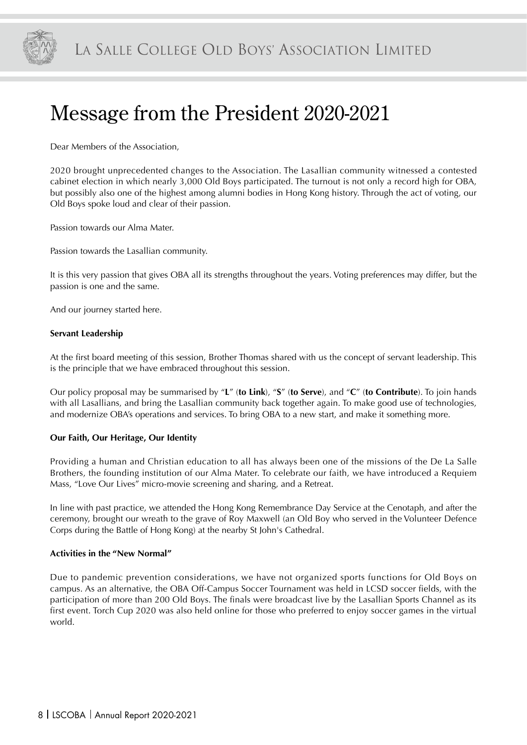

# Message from the President 2020-2021

Dear Members of the Association,

2020 brought unprecedented changes to the Association. The Lasallian community witnessed a contested cabinet election in which nearly 3,000 Old Boys participated. The turnout is not only a record high for OBA, but possibly also one of the highest among alumni bodies in Hong Kong history. Through the act of voting, our Old Boys spoke loud and clear of their passion.

Passion towards our Alma Mater.

Passion towards the Lasallian community.

It is this very passion that gives OBA all its strengths throughout the years. Voting preferences may differ, but the passion is one and the same.

And our journey started here.

#### **Servant Leadership**

At the first board meeting of this session, Brother Thomas shared with us the concept of servant leadership. This is the principle that we have embraced throughout this session.

Our policy proposal may be summarised by "**L**" (**to Link**), "**S**" (**to Serve**), and "**C**" (**to Contribute**). To join hands with all Lasallians, and bring the Lasallian community back together again. To make good use of technologies, and modernize OBA's operations and services. To bring OBA to a new start, and make it something more.

#### **Our Faith, Our Heritage, Our Identity**

Providing a human and Christian education to all has always been one of the missions of the De La Salle Brothers, the founding institution of our Alma Mater. To celebrate our faith, we have introduced a Requiem Mass, "Love Our Lives" micro-movie screening and sharing, and a Retreat.

In line with past practice, we attended the Hong Kong Remembrance Day Service at the Cenotaph, and after the ceremony, brought our wreath to the grave of Roy Maxwell (an Old Boy who served in the Volunteer Defence Corps during the Battle of Hong Kong) at the nearby St John's Cathedral.

#### **Activities in the "New Normal"**

Due to pandemic prevention considerations, we have not organized sports functions for Old Boys on campus. As an alternative, the OBA Off-Campus Soccer Tournament was held in LCSD soccer fields, with the participation of more than 200 Old Boys. The finals were broadcast live by the Lasallian Sports Channel as its first event. Torch Cup 2020 was also held online for those who preferred to enjoy soccer games in the virtual world.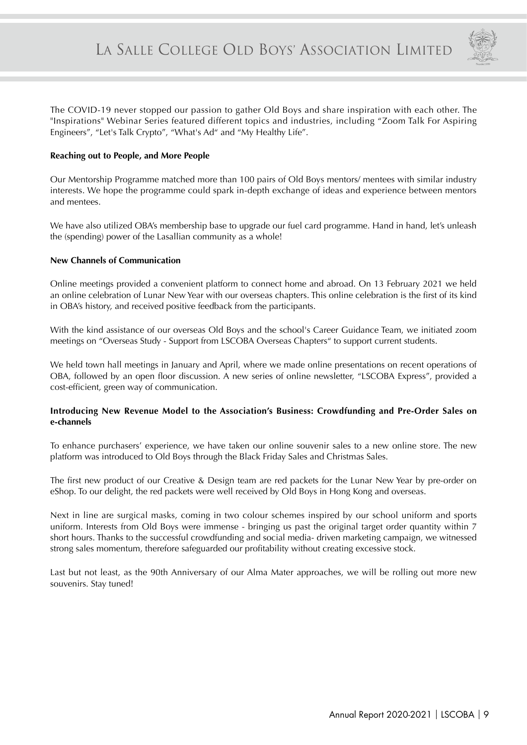

The COVID-19 never stopped our passion to gather Old Boys and share inspiration with each other. The "Inspirations" Webinar Series featured different topics and industries, including "Zoom Talk For Aspiring Engineers", "Let's Talk Crypto", "What's Ad" and "My Healthy Life".

#### **Reaching out to People, and More People**

Our Mentorship Programme matched more than 100 pairs of Old Boys mentors/ mentees with similar industry interests. We hope the programme could spark in-depth exchange of ideas and experience between mentors and mentees.

We have also utilized OBA's membership base to upgrade our fuel card programme. Hand in hand, let's unleash the (spending) power of the Lasallian community as a whole!

#### **New Channels of Communication**

Online meetings provided a convenient platform to connect home and abroad. On 13 February 2021 we held an online celebration of Lunar New Year with our overseas chapters. This online celebration is the first of its kind in OBA's history, and received positive feedback from the participants.

With the kind assistance of our overseas Old Boys and the school's Career Guidance Team, we initiated zoom meetings on "Overseas Study - Support from LSCOBA Overseas Chapters" to support current students.

We held town hall meetings in January and April, where we made online presentations on recent operations of OBA, followed by an open floor discussion. A new series of online newsletter, "LSCOBA Express", provided a cost-efficient, green way of communication.

#### **Introducing New Revenue Model to the Association's Business: Crowdfunding and Pre-Order Sales on e-channels**

To enhance purchasers' experience, we have taken our online souvenir sales to a new online store. The new platform was introduced to Old Boys through the Black Friday Sales and Christmas Sales.

The first new product of our Creative & Design team are red packets for the Lunar New Year by pre-order on eShop. To our delight, the red packets were well received by Old Boys in Hong Kong and overseas.

Next in line are surgical masks, coming in two colour schemes inspired by our school uniform and sports uniform. Interests from Old Boys were immense - bringing us past the original target order quantity within 7 short hours. Thanks to the successful crowdfunding and social media- driven marketing campaign, we witnessed strong sales momentum, therefore safeguarded our profitability without creating excessive stock.

Last but not least, as the 90th Anniversary of our Alma Mater approaches, we will be rolling out more new souvenirs. Stay tuned!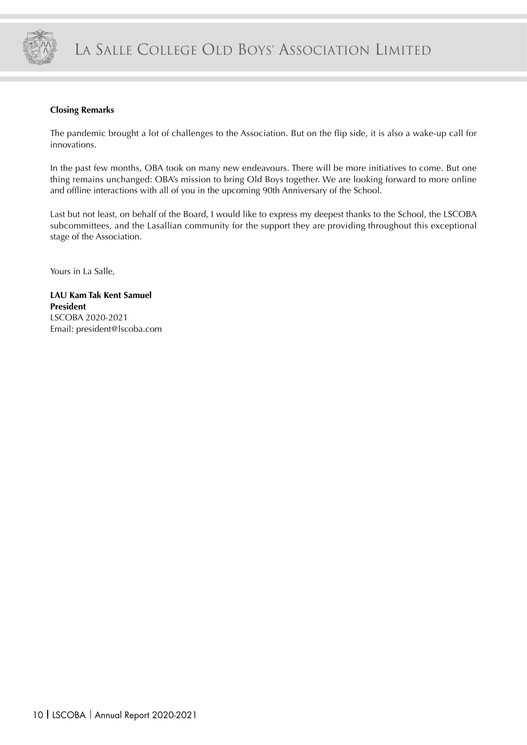

#### **Closing Remarks**

The pandemic brought a lot of challenges to the Association. But on the flip side, it is also a wake-up call for innovations.

In the past few months, OBA took on many new endeavours. There will be more initiatives to come. But one thing remains unchanged: OBA's mission to bring Old Boys together. We are looking forward to more online and offline interactions with all of you in the upcoming 90th Anniversary of the School.

Last but not least, on behalf of the Board, I would like to express my deepest thanks to the School, the LSCOBA subcommittees, and the Lasallian community for the support they are providing throughout this exceptional stage of the Association.

Yours in La Salle,

**LAU Kam Tak Kent Samuel President** LSCOBA 2020-2021 Email: president@lscoba.com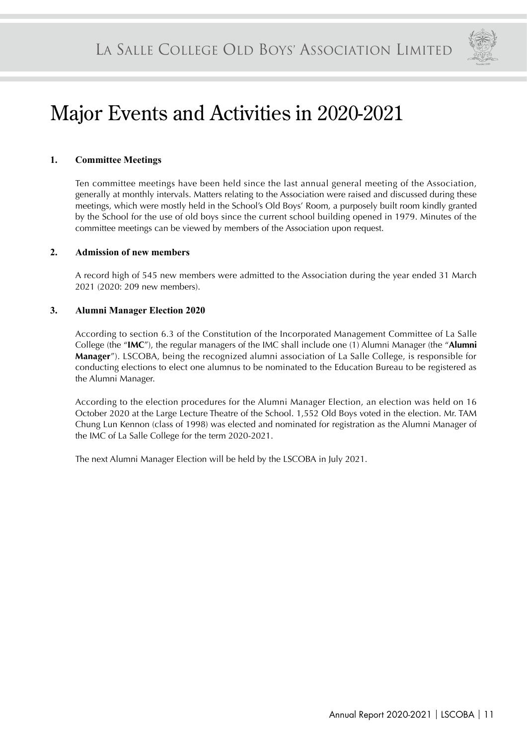

# Major Events and Activities in 2020-2021

#### **1. Committee Meetings**

Ten committee meetings have been held since the last annual general meeting of the Association, generally at monthly intervals. Matters relating to the Association were raised and discussed during these meetings, which were mostly held in the School's Old Boys' Room, a purposely built room kindly granted by the School for the use of old boys since the current school building opened in 1979. Minutes of the committee meetings can be viewed by members of the Association upon request.

#### **2. Admission of new members**

A record high of 545 new members were admitted to the Association during the year ended 31 March 2021 (2020: 209 new members).

#### **3. Alumni Manager Election 2020**

According to section 6.3 of the Constitution of the Incorporated Management Committee of La Salle College (the "**IMC**"), the regular managers of the IMC shall include one (1) Alumni Manager (the "**Alumni Manager**"). LSCOBA, being the recognized alumni association of La Salle College, is responsible for conducting elections to elect one alumnus to be nominated to the Education Bureau to be registered as the Alumni Manager.

According to the election procedures for the Alumni Manager Election, an election was held on 16 October 2020 at the Large Lecture Theatre of the School. 1,552 Old Boys voted in the election. Mr. TAM Chung Lun Kennon (class of 1998) was elected and nominated for registration as the Alumni Manager of the IMC of La Salle College for the term 2020-2021.

The next Alumni Manager Election will be held by the LSCOBA in July 2021.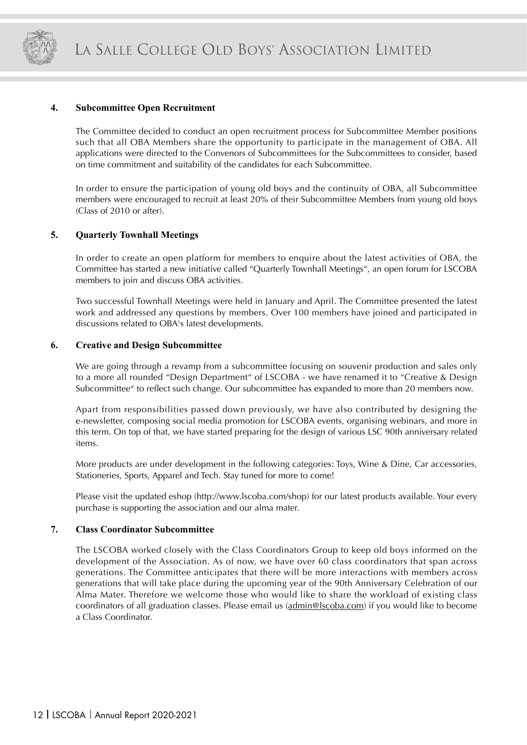

#### **4. Subcommittee Open Recruitment**

The Committee decided to conduct an open recruitment process for Subcommittee Member positions such that all OBA Members share the opportunity to participate in the management of OBA. All applications were directed to the Convenors of Subcommittees for the Subcommittees to consider, based on time commitment and suitability of the candidates for each Subcommittee.

In order to ensure the participation of young old boys and the continuity of OBA, all Subcommittee members were encouraged to recruit at least 20% of their Subcommittee Members from young old boys (Class of 2010 or after).

#### **5. Quarterly Townhall Meetings**

In order to create an open platform for members to enquire about the latest activities of OBA, the Committee has started a new initiative called "Quarterly Townhall Meetings", an open forum for LSCOBA members to join and discuss OBA activities.

Two successful Townhall Meetings were held in January and April. The Committee presented the latest work and addressed any questions by members. Over 100 members have joined and participated in discussions related to OBA's latest developments.

#### **6. Creative and Design Subcommittee**

We are going through a revamp from a subcommittee focusing on souvenir production and sales only to a more all rounded "Design Department" of LSCOBA - we have renamed it to "Creative & Design Subcommittee" to reflect such change. Our subcommittee has expanded to more than 20 members now.

Apart from responsibilities passed down previously, we have also contributed by designing the e-newsletter, composing social media promotion for LSCOBA events, organising webinars, and more in this term. On top of that, we have started preparing for the design of various LSC 90th anniversary related items.

More products are under development in the following categories: Toys, Wine & Dine, Car accessories, Stationeries, Sports, Apparel and Tech. Stay tuned for more to come!

Please visit the updated eshop (http://www.lscoba.com/shop) for our latest products available. Your every purchase is supporting the association and our alma mater.

#### **7. Class Coordinator Subcommittee**

The LSCOBA worked closely with the Class Coordinators Group to keep old boys informed on the development of the Association. As of now, we have over 60 class coordinators that span across generations. The Committee anticipates that there will be more interactions with members across generations that will take place during the upcoming year of the 90th Anniversary Celebration of our Alma Mater. Therefore we welcome those who would like to share the workload of existing class coordinators of all graduation classes. Please email us (admin@lscoba.com) if you would like to become a Class Coordinator.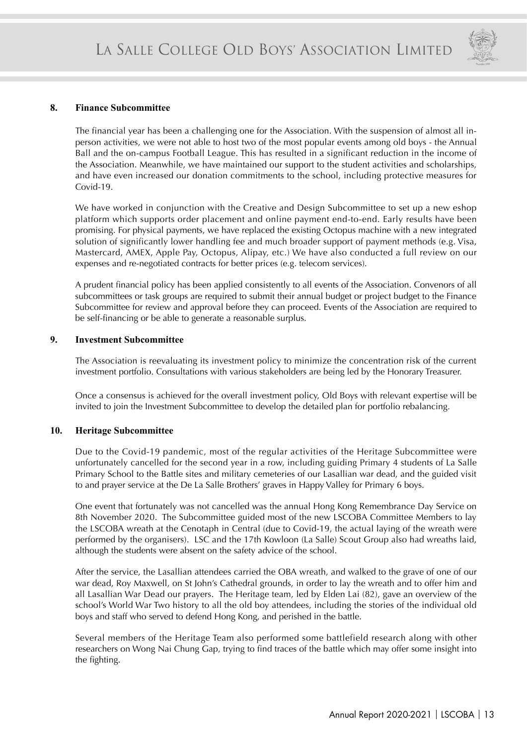

### **8. Finance Subcommittee**

The financial year has been a challenging one for the Association. With the suspension of almost all inperson activities, we were not able to host two of the most popular events among old boys - the Annual Ball and the on-campus Football League. This has resulted in a significant reduction in the income of the Association. Meanwhile, we have maintained our support to the student activities and scholarships, and have even increased our donation commitments to the school, including protective measures for Covid-19.

We have worked in conjunction with the Creative and Design Subcommittee to set up a new eshop platform which supports order placement and online payment end-to-end. Early results have been promising. For physical payments, we have replaced the existing Octopus machine with a new integrated solution of significantly lower handling fee and much broader support of payment methods (e.g. Visa, Mastercard, AMEX, Apple Pay, Octopus, Alipay, etc.) We have also conducted a full review on our expenses and re-negotiated contracts for better prices (e.g. telecom services).

A prudent financial policy has been applied consistently to all events of the Association. Convenors of all subcommittees or task groups are required to submit their annual budget or project budget to the Finance Subcommittee for review and approval before they can proceed. Events of the Association are required to be self-financing or be able to generate a reasonable surplus.

#### **9. Investment Subcommittee**

The Association is reevaluating its investment policy to minimize the concentration risk of the current investment portfolio. Consultations with various stakeholders are being led by the Honorary Treasurer.

Once a consensus is achieved for the overall investment policy, Old Boys with relevant expertise will be invited to join the Investment Subcommittee to develop the detailed plan for portfolio rebalancing.

#### **10. Heritage Subcommittee**

Due to the Covid-19 pandemic, most of the regular activities of the Heritage Subcommittee were unfortunately cancelled for the second year in a row, including guiding Primary 4 students of La Salle Primary School to the Battle sites and military cemeteries of our Lasallian war dead, and the guided visit to and prayer service at the De La Salle Brothers' graves in Happy Valley for Primary 6 boys.

One event that fortunately was not cancelled was the annual Hong Kong Remembrance Day Service on 8th November 2020. The Subcommittee guided most of the new LSCOBA Committee Members to lay the LSCOBA wreath at the Cenotaph in Central (due to Covid-19, the actual laying of the wreath were performed by the organisers). LSC and the 17th Kowloon (La Salle) Scout Group also had wreaths laid, although the students were absent on the safety advice of the school.

After the service, the Lasallian attendees carried the OBA wreath, and walked to the grave of one of our war dead, Roy Maxwell, on St John's Cathedral grounds, in order to lay the wreath and to offer him and all Lasallian War Dead our prayers. The Heritage team, led by Elden Lai (82), gave an overview of the school's World War Two history to all the old boy attendees, including the stories of the individual old boys and staff who served to defend Hong Kong, and perished in the battle.

Several members of the Heritage Team also performed some battlefield research along with other researchers on Wong Nai Chung Gap, trying to find traces of the battle which may offer some insight into the fighting.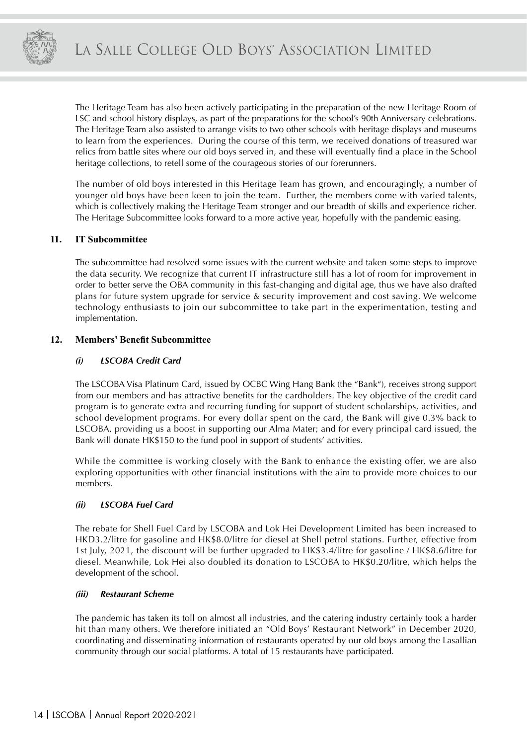

The Heritage Team has also been actively participating in the preparation of the new Heritage Room of LSC and school history displays, as part of the preparations for the school's 90th Anniversary celebrations. The Heritage Team also assisted to arrange visits to two other schools with heritage displays and museums to learn from the experiences. During the course of this term, we received donations of treasured war relics from battle sites where our old boys served in, and these will eventually find a place in the School heritage collections, to retell some of the courageous stories of our forerunners.

The number of old boys interested in this Heritage Team has grown, and encouragingly, a number of younger old boys have been keen to join the team. Further, the members come with varied talents, which is collectively making the Heritage Team stronger and our breadth of skills and experience richer. The Heritage Subcommittee looks forward to a more active year, hopefully with the pandemic easing.

#### **11. IT Subcommittee**

The subcommittee had resolved some issues with the current website and taken some steps to improve the data security. We recognize that current IT infrastructure still has a lot of room for improvement in order to better serve the OBA community in this fast-changing and digital age, thus we have also drafted plans for future system upgrade for service & security improvement and cost saving. We welcome technology enthusiasts to join our subcommittee to take part in the experimentation, testing and implementation.

#### **12. Members' Benefit Subcommittee**

#### *(i) LSCOBA Credit Card*

The LSCOBA Visa Platinum Card, issued by OCBC Wing Hang Bank (the "Bank"), receives strong support from our members and has attractive benefits for the cardholders. The key objective of the credit card program is to generate extra and recurring funding for support of student scholarships, activities, and school development programs. For every dollar spent on the card, the Bank will give 0.3% back to LSCOBA, providing us a boost in supporting our Alma Mater; and for every principal card issued, the Bank will donate HK\$150 to the fund pool in support of students' activities.

While the committee is working closely with the Bank to enhance the existing offer, we are also exploring opportunities with other financial institutions with the aim to provide more choices to our members.

#### *(ii) LSCOBA Fuel Card*

The rebate for Shell Fuel Card by LSCOBA and Lok Hei Development Limited has been increased to HKD3.2/litre for gasoline and HK\$8.0/litre for diesel at Shell petrol stations. Further, effective from 1st July, 2021, the discount will be further upgraded to HK\$3.4/litre for gasoline / HK\$8.6/litre for diesel. Meanwhile, Lok Hei also doubled its donation to LSCOBA to HK\$0.20/litre, which helps the development of the school.

#### *(iii) Restaurant Scheme*

The pandemic has taken its toll on almost all industries, and the catering industry certainly took a harder hit than many others. We therefore initiated an "Old Boys' Restaurant Network" in December 2020, coordinating and disseminating information of restaurants operated by our old boys among the Lasallian community through our social platforms. A total of 15 restaurants have participated.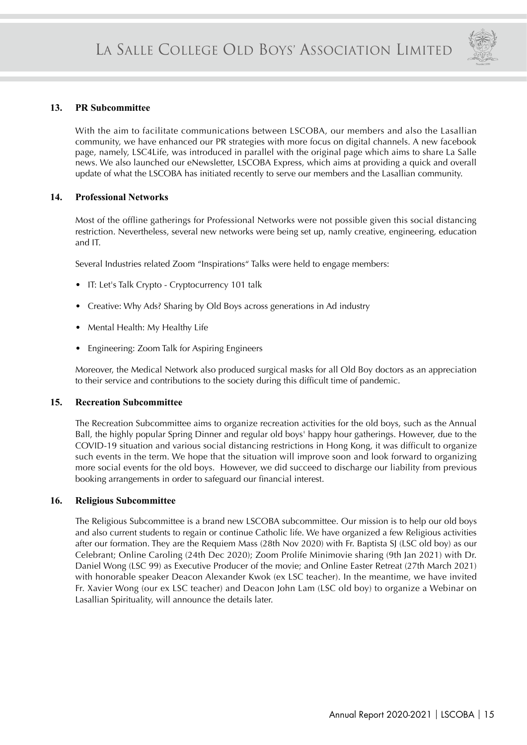

#### **13. PR Subcommittee**

With the aim to facilitate communications between LSCOBA, our members and also the Lasallian community, we have enhanced our PR strategies with more focus on digital channels. A new facebook page, namely, LSC4Life, was introduced in parallel with the original page which aims to share La Salle news. We also launched our eNewsletter, LSCOBA Express, which aims at providing a quick and overall update of what the LSCOBA has initiated recently to serve our members and the Lasallian community.

#### **14. Professional Networks**

Most of the offline gatherings for Professional Networks were not possible given this social distancing restriction. Nevertheless, several new networks were being set up, namly creative, engineering, education and IT.

Several Industries related Zoom "Inspirations" Talks were held to engage members:

- IT: Let's Talk Crypto Cryptocurrency 101 talk
- Creative: Why Ads? Sharing by Old Boys across generations in Ad industry
- Mental Health: My Healthy Life
- Engineering: Zoom Talk for Aspiring Engineers

Moreover, the Medical Network also produced surgical masks for all Old Boy doctors as an appreciation to their service and contributions to the society during this difficult time of pandemic.

#### **15. Recreation Subcommittee**

The Recreation Subcommittee aims to organize recreation activities for the old boys, such as the Annual Ball, the highly popular Spring Dinner and regular old boys' happy hour gatherings. However, due to the COVID-19 situation and various social distancing restrictions in Hong Kong, it was difficult to organize such events in the term. We hope that the situation will improve soon and look forward to organizing more social events for the old boys. However, we did succeed to discharge our liability from previous booking arrangements in order to safeguard our financial interest.

#### **16. Religious Subcommittee**

The Religious Subcommittee is a brand new LSCOBA subcommittee. Our mission is to help our old boys and also current students to regain or continue Catholic life. We have organized a few Religious activities after our formation. They are the Requiem Mass (28th Nov 2020) with Fr. Baptista SJ (LSC old boy) as our Celebrant; Online Caroling (24th Dec 2020); Zoom Prolife Minimovie sharing (9th Jan 2021) with Dr. Daniel Wong (LSC 99) as Executive Producer of the movie; and Online Easter Retreat (27th March 2021) with honorable speaker Deacon Alexander Kwok (ex LSC teacher). In the meantime, we have invited Fr. Xavier Wong (our ex LSC teacher) and Deacon John Lam (LSC old boy) to organize a Webinar on Lasallian Spirituality, will announce the details later.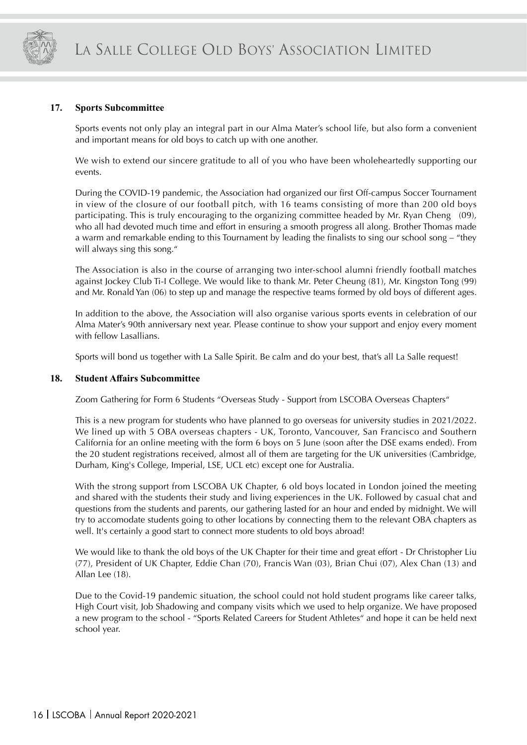

#### **17. Sports Subcommittee**

Sports events not only play an integral part in our Alma Mater's school life, but also form a convenient and important means for old boys to catch up with one another.

We wish to extend our sincere gratitude to all of you who have been wholeheartedly supporting our events.

During the COVID-19 pandemic, the Association had organized our first Off-campus Soccer Tournament in view of the closure of our football pitch, with 16 teams consisting of more than 200 old boys participating. This is truly encouraging to the organizing committee headed by Mr. Ryan Cheng (09), who all had devoted much time and effort in ensuring a smooth progress all along. Brother Thomas made a warm and remarkable ending to this Tournament by leading the finalists to sing our school song – "they will always sing this song."

The Association is also in the course of arranging two inter-school alumni friendly football matches against Jockey Club Ti-I College. We would like to thank Mr. Peter Cheung (81), Mr. Kingston Tong (99) and Mr. Ronald Yan (06) to step up and manage the respective teams formed by old boys of different ages.

In addition to the above, the Association will also organise various sports events in celebration of our Alma Mater's 90th anniversary next year. Please continue to show your support and enjoy every moment with fellow Lasallians.

Sports will bond us together with La Salle Spirit. Be calm and do your best, that's all La Salle request!

#### **18. Student Affairs Subcommittee**

Zoom Gathering for Form 6 Students "Overseas Study - Support from LSCOBA Overseas Chapters"

This is a new program for students who have planned to go overseas for university studies in 2021/2022. We lined up with 5 OBA overseas chapters - UK, Toronto, Vancouver, San Francisco and Southern California for an online meeting with the form 6 boys on 5 June (soon after the DSE exams ended). From the 20 student registrations received, almost all of them are targeting for the UK universities (Cambridge, Durham, King's College, Imperial, LSE, UCL etc) except one for Australia.

With the strong support from LSCOBA UK Chapter, 6 old boys located in London joined the meeting and shared with the students their study and living experiences in the UK. Followed by casual chat and questions from the students and parents, our gathering lasted for an hour and ended by midnight. We will try to accomodate students going to other locations by connecting them to the relevant OBA chapters as well. It's certainly a good start to connect more students to old boys abroad!

We would like to thank the old boys of the UK Chapter for their time and great effort - Dr Christopher Liu (77), President of UK Chapter, Eddie Chan (70), Francis Wan (03), Brian Chui (07), Alex Chan (13) and Allan Lee (18).

Due to the Covid-19 pandemic situation, the school could not hold student programs like career talks, High Court visit, Job Shadowing and company visits which we used to help organize. We have proposed a new program to the school - "Sports Related Careers for Student Athletes" and hope it can be held next school year.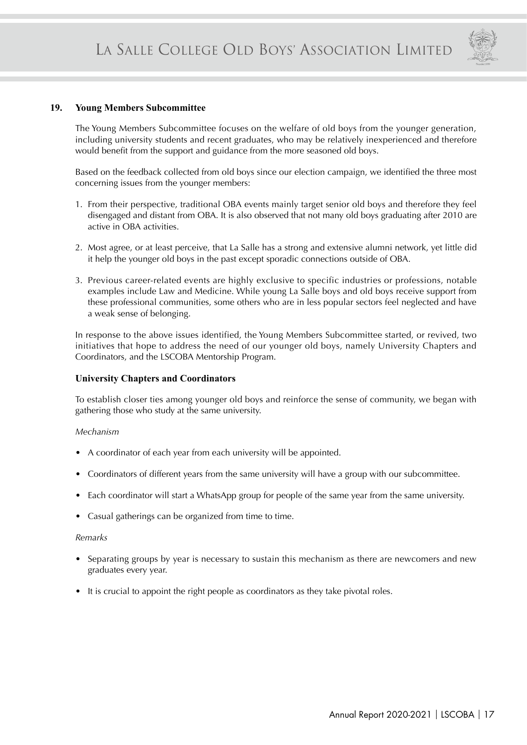

#### **19. Young Members Subcommittee**

The Young Members Subcommittee focuses on the welfare of old boys from the younger generation, including university students and recent graduates, who may be relatively inexperienced and therefore would benefit from the support and guidance from the more seasoned old boys.

Based on the feedback collected from old boys since our election campaign, we identified the three most concerning issues from the younger members:

- 1. From their perspective, traditional OBA events mainly target senior old boys and therefore they feel disengaged and distant from OBA. It is also observed that not many old boys graduating after 2010 are active in OBA activities.
- 2. Most agree, or at least perceive, that La Salle has a strong and extensive alumni network, yet little did it help the younger old boys in the past except sporadic connections outside of OBA.
- 3. Previous career-related events are highly exclusive to specific industries or professions, notable examples include Law and Medicine. While young La Salle boys and old boys receive support from these professional communities, some others who are in less popular sectors feel neglected and have a weak sense of belonging.

In response to the above issues identified, the Young Members Subcommittee started, or revived, two initiatives that hope to address the need of our younger old boys, namely University Chapters and Coordinators, and the LSCOBA Mentorship Program.

#### **University Chapters and Coordinators**

To establish closer ties among younger old boys and reinforce the sense of community, we began with gathering those who study at the same university.

#### *Mechanism*

- A coordinator of each year from each university will be appointed.
- Coordinators of different years from the same university will have a group with our subcommittee.
- Each coordinator will start a WhatsApp group for people of the same year from the same university.
- Casual gatherings can be organized from time to time.

#### *Remarks*

- Separating groups by year is necessary to sustain this mechanism as there are newcomers and new graduates every year.
- It is crucial to appoint the right people as coordinators as they take pivotal roles.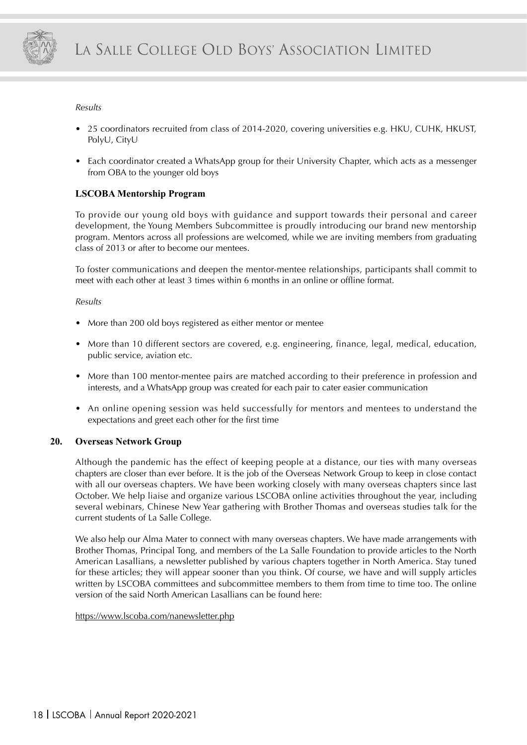

#### *Results*

- 25 coordinators recruited from class of 2014-2020, covering universities e.g. HKU, CUHK, HKUST, PolyU, CityU
- Each coordinator created a WhatsApp group for their University Chapter, which acts as a messenger from OBA to the younger old boys

#### **LSCOBA Mentorship Program**

To provide our young old boys with guidance and support towards their personal and career development, the Young Members Subcommittee is proudly introducing our brand new mentorship program. Mentors across all professions are welcomed, while we are inviting members from graduating class of 2013 or after to become our mentees.

To foster communications and deepen the mentor-mentee relationships, participants shall commit to meet with each other at least 3 times within 6 months in an online or offline format.

#### *Results*

- More than 200 old boys registered as either mentor or mentee
- More than 10 different sectors are covered, e.g. engineering, finance, legal, medical, education, public service, aviation etc.
- More than 100 mentor-mentee pairs are matched according to their preference in profession and interests, and a WhatsApp group was created for each pair to cater easier communication
- An online opening session was held successfully for mentors and mentees to understand the expectations and greet each other for the first time

#### **20. Overseas Network Group**

Although the pandemic has the effect of keeping people at a distance, our ties with many overseas chapters are closer than ever before. It is the job of the Overseas Network Group to keep in close contact with all our overseas chapters. We have been working closely with many overseas chapters since last October. We help liaise and organize various LSCOBA online activities throughout the year, including several webinars, Chinese New Year gathering with Brother Thomas and overseas studies talk for the current students of La Salle College.

We also help our Alma Mater to connect with many overseas chapters. We have made arrangements with Brother Thomas, Principal Tong, and members of the La Salle Foundation to provide articles to the North American Lasallians, a newsletter published by various chapters together in North America. Stay tuned for these articles; they will appear sooner than you think. Of course, we have and will supply articles written by LSCOBA committees and subcommittee members to them from time to time too. The online version of the said North American Lasallians can be found here:

#### https://www.lscoba.com/nanewsletter.php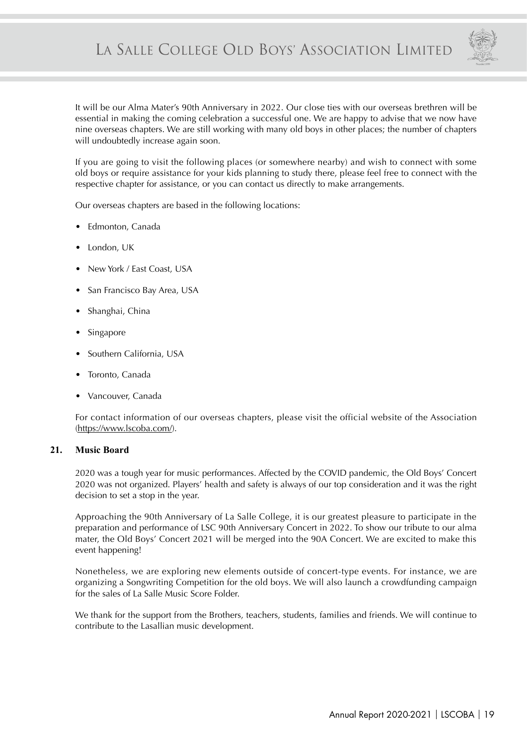

It will be our Alma Mater's 90th Anniversary in 2022. Our close ties with our overseas brethren will be essential in making the coming celebration a successful one. We are happy to advise that we now have nine overseas chapters. We are still working with many old boys in other places; the number of chapters will undoubtedly increase again soon.

If you are going to visit the following places (or somewhere nearby) and wish to connect with some old boys or require assistance for your kids planning to study there, please feel free to connect with the respective chapter for assistance, or you can contact us directly to make arrangements.

Our overseas chapters are based in the following locations:

- Edmonton, Canada
- London, UK
- New York / East Coast, USA
- San Francisco Bay Area, USA
- Shanghai, China
- **Singapore**
- Southern California, USA
- Toronto, Canada
- Vancouver, Canada

For contact information of our overseas chapters, please visit the official website of the Association (https://www.lscoba.com/).

#### **21. Music Board**

2020 was a tough year for music performances. Affected by the COVID pandemic, the Old Boys' Concert 2020 was not organized. Players' health and safety is always of our top consideration and it was the right decision to set a stop in the year.

Approaching the 90th Anniversary of La Salle College, it is our greatest pleasure to participate in the preparation and performance of LSC 90th Anniversary Concert in 2022. To show our tribute to our alma mater, the Old Boys' Concert 2021 will be merged into the 90A Concert. We are excited to make this event happening!

Nonetheless, we are exploring new elements outside of concert-type events. For instance, we are organizing a Songwriting Competition for the old boys. We will also launch a crowdfunding campaign for the sales of La Salle Music Score Folder.

We thank for the support from the Brothers, teachers, students, families and friends. We will continue to contribute to the Lasallian music development.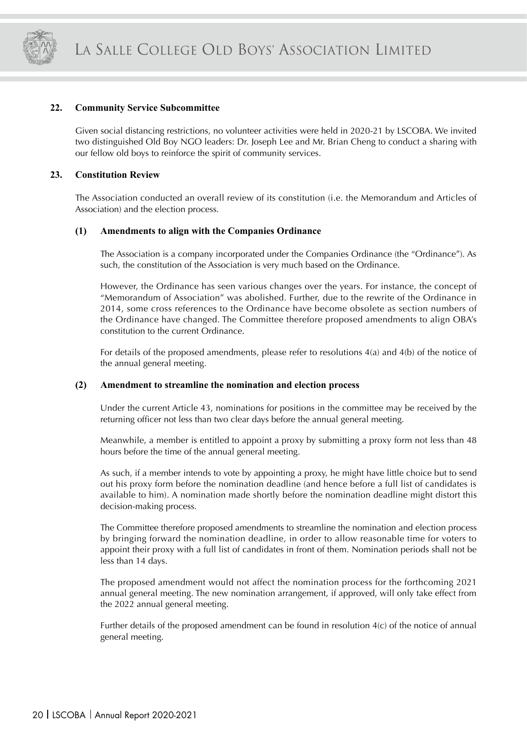

#### **22. Community Service Subcommittee**

Given social distancing restrictions, no volunteer activities were held in 2020-21 by LSCOBA. We invited two distinguished Old Boy NGO leaders: Dr. Joseph Lee and Mr. Brian Cheng to conduct a sharing with our fellow old boys to reinforce the spirit of community services.

#### **23. Constitution Review**

The Association conducted an overall review of its constitution (i.e. the Memorandum and Articles of Association) and the election process.

#### **(1) Amendments to align with the Companies Ordinance**

The Association is a company incorporated under the Companies Ordinance (the "Ordinance"). As such, the constitution of the Association is very much based on the Ordinance.

However, the Ordinance has seen various changes over the years. For instance, the concept of "Memorandum of Association" was abolished. Further, due to the rewrite of the Ordinance in 2014, some cross references to the Ordinance have become obsolete as section numbers of the Ordinance have changed. The Committee therefore proposed amendments to align OBA's constitution to the current Ordinance.

For details of the proposed amendments, please refer to resolutions 4(a) and 4(b) of the notice of the annual general meeting.

#### **(2) Amendment to streamline the nomination and election process**

Under the current Article 43, nominations for positions in the committee may be received by the returning officer not less than two clear days before the annual general meeting.

Meanwhile, a member is entitled to appoint a proxy by submitting a proxy form not less than 48 hours before the time of the annual general meeting.

As such, if a member intends to vote by appointing a proxy, he might have little choice but to send out his proxy form before the nomination deadline (and hence before a full list of candidates is available to him). A nomination made shortly before the nomination deadline might distort this decision-making process.

The Committee therefore proposed amendments to streamline the nomination and election process by bringing forward the nomination deadline, in order to allow reasonable time for voters to appoint their proxy with a full list of candidates in front of them. Nomination periods shall not be less than 14 days.

The proposed amendment would not affect the nomination process for the forthcoming 2021 annual general meeting. The new nomination arrangement, if approved, will only take effect from the 2022 annual general meeting.

Further details of the proposed amendment can be found in resolution 4(c) of the notice of annual general meeting.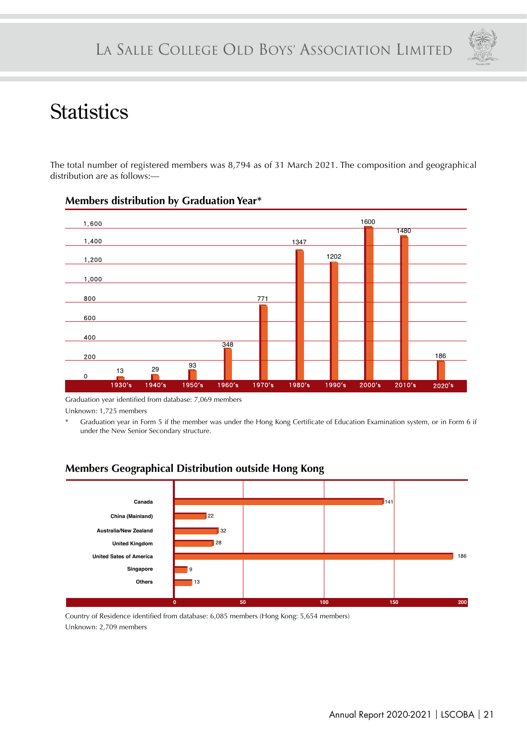

# **Statistics**

The total number of registered members was 8,794 as of 31 March 2021. The composition and geographical distribution are as follows:—



### **Members distribution by Graduation Year\***

Graduation year identified from database: 7,069 members

Unknown: 1,725 members

Graduation year in Form 5 if the member was under the Hong Kong Certificate of Education Examination system, or in Form 6 if under the New Senior Secondary structure.

# **Members Geographical Distribution outside Hong Kong**



Country of Residence identified from database: 6,085 members (Hong Kong: 5,654 members)

Unknown: 2,709 members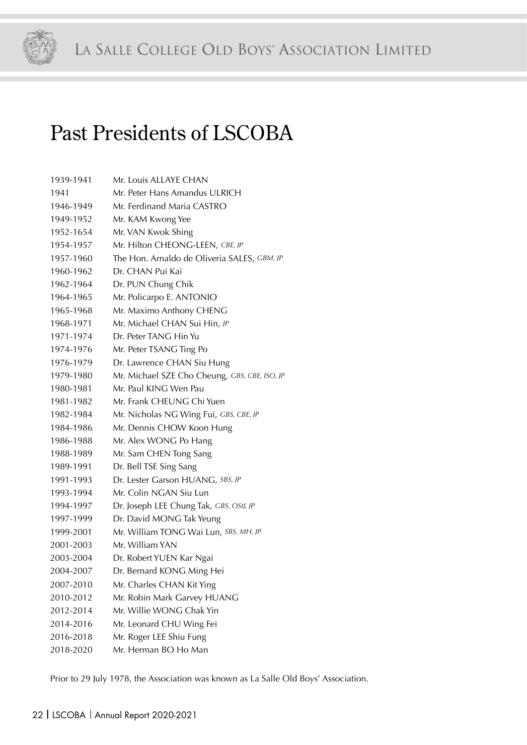

# Past Presidents of LSCOBA

| 1939-1941 | Mr. Louis ALLAYE CHAN                         |
|-----------|-----------------------------------------------|
| 1941      | Mr. Peter Hans Amandus ULRICH                 |
| 1946-1949 | Mr. Ferdinand Maria CASTRO                    |
| 1949-1952 | Mr. KAM Kwong Yee                             |
| 1952-1654 | Mr. VAN Kwok Shing                            |
| 1954-1957 | Mr. Hilton CHEONG-LEEN, CBE, IP               |
| 1957-1960 | The Hon. Arnaldo de Oliveria SALES, GBM, JP   |
| 1960-1962 | Dr. CHAN Pui Kai                              |
| 1962-1964 | Dr. PUN Chung Chik                            |
| 1964-1965 | Mr. Policarpo E. ANTONIO                      |
| 1965-1968 | Mr. Maximo Anthony CHENG                      |
| 1968-1971 | Mr. Michael CHAN Sui Hin, JP                  |
| 1971-1974 | Dr. Peter TANG Hin Yu                         |
| 1974-1976 | Mr. Peter TSANG Ting Po                       |
| 1976-1979 | Dr. Lawrence CHAN Siu Hung                    |
| 1979-1980 | Mr. Michael SZE Cho Cheung, GBS, CBE, ISO, JP |
| 1980-1981 | Mr. Paul KING Wen Pau                         |
| 1981-1982 | Mr. Frank CHEUNG Chi Yuen                     |
| 1982-1984 | Mr. Nicholas NG Wing Fui, GBS, CBE, JP        |
| 1984-1986 | Mr. Dennis CHOW Koon Hung                     |
| 1986-1988 | Mr. Alex WONG Po Hang                         |
| 1988-1989 | Mr. Sam CHEN Tong Sang                        |
| 1989-1991 | Dr. Bell TSE Sing Sang                        |
| 1991-1993 | Dr. Lester Garson HUANG, SBS, JP              |
| 1993-1994 | Mr. Colin NGAN Siu Lun                        |
| 1994-1997 | Dr. Joseph LEE Chung Tak, GBS, OStJ, JP       |
| 1997-1999 | Dr. David MONG Tak Yeung                      |
| 1999-2001 | Mr. William TONG Wai Lun, SBS, MH, JP         |
| 2001-2003 | Mr. William YAN                               |
| 2003-2004 | Dr. Robert YUEN Kar Ngai                      |
| 2004-2007 | Dr. Bernard KONG Ming Hei                     |
| 2007-2010 | Mr. Charles CHAN Kit Ying                     |
| 2010-2012 | Mr. Robin Mark Garvey HUANG                   |
| 2012-2014 | Mr. Willie WONG Chak Yin                      |
| 2014-2016 | Mr. Leonard CHU Wing Fei                      |
| 2016-2018 | Mr. Roger LEE Shiu Fung                       |
| 2018-2020 | Mr. Herman BO Ho Man                          |

Prior to 29 July 1978, the Association was known as La Salle Old Boys' Association.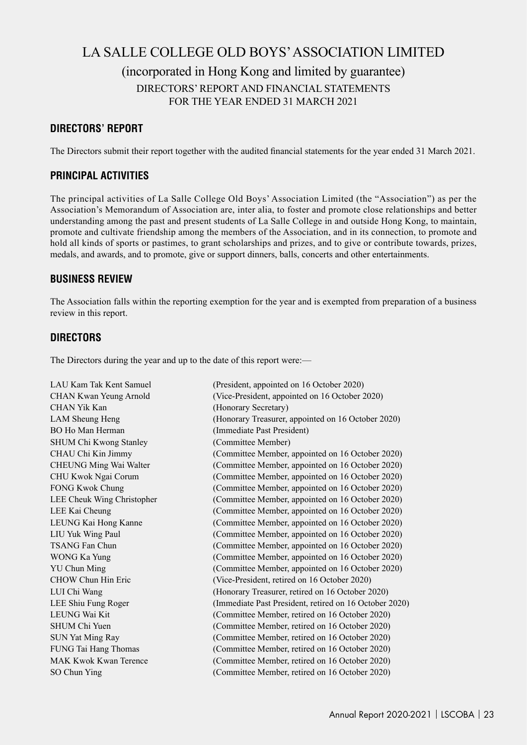# LA SALLE COLLEGE OLD BOYS' ASSOCIATION LIMITED (incorporated in Hong Kong and limited by guarantee) DIRECTORS' REPORT AND FINANCIAL STATEMENTS FOR THE YEAR ENDED 31 MARCH 2021

### **DIRECTORS' REPORT**

The Directors submit their report together with the audited financial statements for the year ended 31 March 2021.

### **PRINCIPAL ACTIVITIES**

The principal activities of La Salle College Old Boys' Association Limited (the "Association") as per the Association's Memorandum of Association are, inter alia, to foster and promote close relationships and better understanding among the past and present students of La Salle College in and outside Hong Kong, to maintain, promote and cultivate friendship among the members of the Association, and in its connection, to promote and hold all kinds of sports or pastimes, to grant scholarships and prizes, and to give or contribute towards, prizes, medals, and awards, and to promote, give or support dinners, balls, concerts and other entertainments.

### **BUSINESS REVIEW**

The Association falls within the reporting exemption for the year and is exempted from preparation of a business review in this report.

### **DIRECTORS**

The Directors during the year and up to the date of this report were:—

| LAU Kam Tak Kent Samuel       | (President, appointed on 16 October 2020)              |
|-------------------------------|--------------------------------------------------------|
| CHAN Kwan Yeung Arnold        | (Vice-President, appointed on 16 October 2020)         |
| CHAN Yik Kan                  | (Honorary Secretary)                                   |
| <b>LAM Sheung Heng</b>        | (Honorary Treasurer, appointed on 16 October 2020)     |
| BO Ho Man Herman              | (Immediate Past President)                             |
| <b>SHUM Chi Kwong Stanley</b> | (Committee Member)                                     |
| CHAU Chi Kin Jimmy            | (Committee Member, appointed on 16 October 2020)       |
| CHEUNG Ming Wai Walter        | (Committee Member, appointed on 16 October 2020)       |
| CHU Kwok Ngai Corum           | (Committee Member, appointed on 16 October 2020)       |
| <b>FONG Kwok Chung</b>        | (Committee Member, appointed on 16 October 2020)       |
| LEE Cheuk Wing Christopher    | (Committee Member, appointed on 16 October 2020)       |
| LEE Kai Cheung                | (Committee Member, appointed on 16 October 2020)       |
| LEUNG Kai Hong Kanne          | (Committee Member, appointed on 16 October 2020)       |
| LIU Yuk Wing Paul             | (Committee Member, appointed on 16 October 2020)       |
| <b>TSANG Fan Chun</b>         | (Committee Member, appointed on 16 October 2020)       |
| WONG Ka Yung                  | (Committee Member, appointed on 16 October 2020)       |
| <b>YU Chun Ming</b>           | (Committee Member, appointed on 16 October 2020)       |
| CHOW Chun Hin Eric            | (Vice-President, retired on 16 October 2020)           |
| LUI Chi Wang                  | (Honorary Treasurer, retired on 16 October 2020)       |
| LEE Shiu Fung Roger           | (Immediate Past President, retired on 16 October 2020) |
| LEUNG Wai Kit                 | (Committee Member, retired on 16 October 2020)         |
| SHUM Chi Yuen                 | (Committee Member, retired on 16 October 2020)         |
| SUN Yat Ming Ray              | (Committee Member, retired on 16 October 2020)         |
| FUNG Tai Hang Thomas          | (Committee Member, retired on 16 October 2020)         |
| <b>MAK Kwok Kwan Terence</b>  | (Committee Member, retired on 16 October 2020)         |
| SO Chun Ying                  | (Committee Member, retired on 16 October 2020)         |
|                               |                                                        |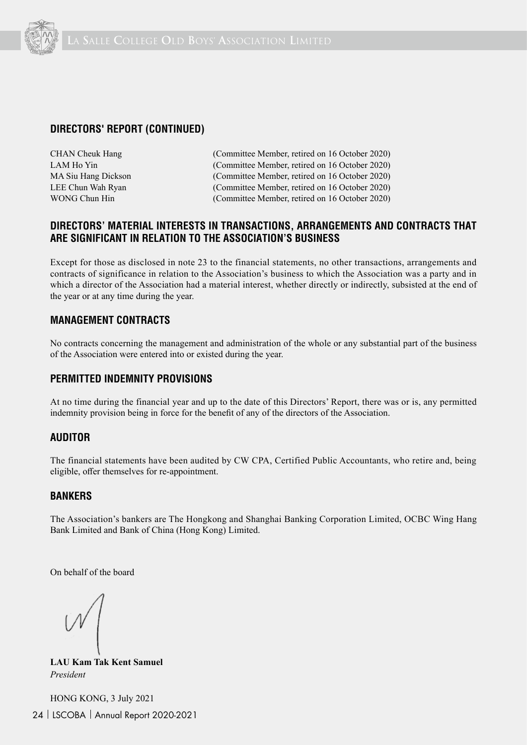

# **DIRECTORS' REPORT (CONTINUED)**

| <b>CHAN</b> Cheuk Hang |  |
|------------------------|--|
| LAM Ho Yin             |  |
| MA Siu Hang Dickson    |  |
| LEE Chun Wah Ryan      |  |
| WONG Chun Hin          |  |

Committee Member, retired on 16 October 2020) Committee Member, retired on 16 October 2020) Committee Member, retired on 16 October 2020) Committee Member, retired on 16 October 2020) Committee Member, retired on 16 October 2020)

# **DIRECTORS' MATERIAL INTERESTS IN TRANSACTIONS, ARRANGEMENTS AND CONTRACTS THAT ARE SIGNIFICANT IN RELATION TO THE ASSOCIATION'S BUSINESS**

Except for those as disclosed in note 23 to the financial statements, no other transactions, arrangements and contracts of significance in relation to the Association's business to which the Association was a party and in which a director of the Association had a material interest, whether directly or indirectly, subsisted at the end of the year or at any time during the year.

### **MANAGEMENT CONTRACTS**

No contracts concerning the management and administration of the whole or any substantial part of the business of the Association were entered into or existed during the year.

### **PERMITTED INDEMNITY PROVISIONS**

At no time during the financial year and up to the date of this Directors' Report, there was or is, any permitted indemnity provision being in force for the benefit of any of the directors of the Association.

#### **AUDITOR**

The financial statements have been audited by CW CPA, Certified Public Accountants, who retire and, being eligible, offer themselves for re-appointment.

#### **BANKERS**

The Association's bankers are The Hongkong and Shanghai Banking Corporation Limited, OCBC Wing Hang Bank Limited and Bank of China (Hong Kong) Limited.

On behalf of the board

**LAU Kam Tak Kent Samuel** *President*

24 | LSCOBA | Annual Report 2020-2021 HONG KONG, 3 July 2021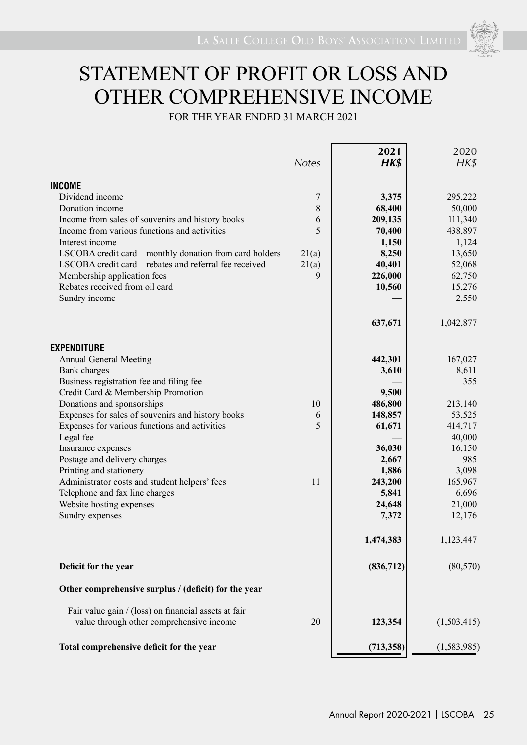# STATEMENT OF PROFIT OR LOSS AND OTHER COMPREHENSIVE INCOME

FOR THE YEAR ENDED 31 MARCH 2021

|                                                                                                  | <b>Notes</b> | 2021<br>HK\$   | 2020<br>$H K$ \$ |
|--------------------------------------------------------------------------------------------------|--------------|----------------|------------------|
|                                                                                                  |              |                |                  |
| <b>INCOME</b>                                                                                    |              |                |                  |
| Dividend income                                                                                  | 7            | 3,375          | 295,222          |
| Donation income                                                                                  | 8            | 68,400         | 50,000           |
| Income from sales of souvenirs and history books<br>Income from various functions and activities | 6<br>5       | 209,135        | 111,340          |
| Interest income                                                                                  |              | 70,400         | 438,897<br>1,124 |
| LSCOBA credit card - monthly donation from card holders                                          | 21(a)        | 1,150<br>8,250 | 13,650           |
| LSCOBA credit card – rebates and referral fee received                                           | 21(a)        | 40,401         | 52,068           |
| Membership application fees                                                                      | 9            | 226,000        | 62,750           |
| Rebates received from oil card                                                                   |              | 10,560         | 15,276           |
| Sundry income                                                                                    |              |                | 2,550            |
|                                                                                                  |              |                |                  |
|                                                                                                  |              | 637,671        | 1,042,877        |
| <b>EXPENDITURE</b>                                                                               |              |                |                  |
| <b>Annual General Meeting</b>                                                                    |              | 442,301        | 167,027          |
| <b>Bank</b> charges                                                                              |              | 3,610          | 8,611            |
| Business registration fee and filing fee                                                         |              |                | 355              |
| Credit Card & Membership Promotion                                                               |              | 9,500          |                  |
| Donations and sponsorships                                                                       | 10           | 486,800        | 213,140          |
| Expenses for sales of souvenirs and history books                                                | 6            | 148,857        | 53,525           |
| Expenses for various functions and activities                                                    | 5            | 61,671         | 414,717          |
| Legal fee                                                                                        |              |                | 40,000           |
| Insurance expenses                                                                               |              | 36,030         | 16,150           |
| Postage and delivery charges                                                                     |              | 2,667          | 985              |
| Printing and stationery                                                                          |              | 1,886          | 3,098            |
| Administrator costs and student helpers' fees                                                    | 11           | 243,200        | 165,967          |
| Telephone and fax line charges                                                                   |              | 5,841          | 6,696            |
| Website hosting expenses                                                                         |              | 24,648         | 21,000           |
| Sundry expenses                                                                                  |              | 7,372          | 12,176           |
|                                                                                                  |              | 1,474,383      | 1,123,447        |
| Deficit for the year                                                                             |              | (836,712)      | (80, 570)        |
| Other comprehensive surplus / (deficit) for the year                                             |              |                |                  |
| Fair value gain / (loss) on financial assets at fair                                             |              |                |                  |
| value through other comprehensive income                                                         | 20           | 123,354        | (1,503,415)      |
| Total comprehensive deficit for the year                                                         |              | (713, 358)     | (1,583,985)      |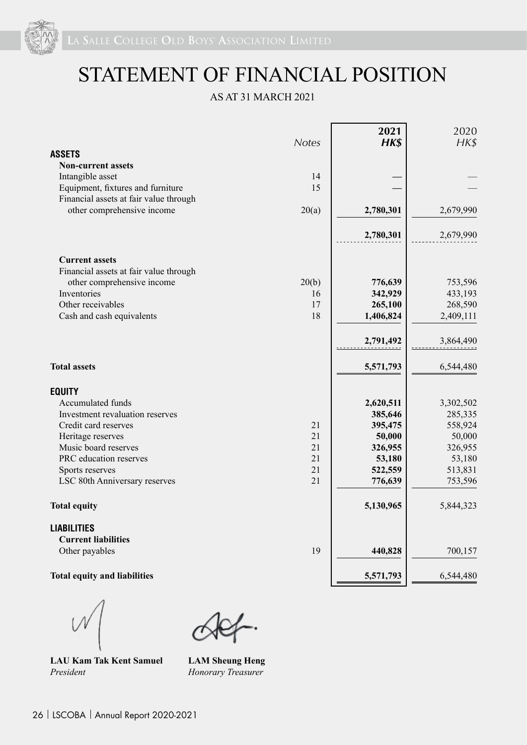

# STATEMENT OF FINANCIAL POSITION

AS AT 31 MARCH 2021

|                                        | <b>Notes</b> | 2021<br>HK\$ | 2020<br>$H K$ \$ |
|----------------------------------------|--------------|--------------|------------------|
| <b>ASSETS</b>                          |              |              |                  |
| <b>Non-current assets</b>              |              |              |                  |
| Intangible asset                       | 14           |              |                  |
| Equipment, fixtures and furniture      | 15           |              |                  |
| Financial assets at fair value through |              |              |                  |
| other comprehensive income             | 20(a)        | 2,780,301    | 2,679,990        |
|                                        |              | 2,780,301    | 2,679,990        |
| <b>Current assets</b>                  |              |              |                  |
| Financial assets at fair value through |              |              |                  |
| other comprehensive income             | 20(b)        | 776,639      | 753,596          |
| Inventories                            | 16           | 342,929      | 433,193          |
| Other receivables                      | 17           | 265,100      | 268,590          |
| Cash and cash equivalents              | 18           | 1,406,824    | 2,409,111        |
|                                        |              | 2,791,492    | 3,864,490        |
| <b>Total assets</b>                    |              | 5,571,793    | 6,544,480        |
| <b>EQUITY</b>                          |              |              |                  |
| Accumulated funds                      |              | 2,620,511    | 3,302,502        |
| Investment revaluation reserves        |              | 385,646      | 285,335          |
| Credit card reserves                   | 21           | 395,475      | 558,924          |
| Heritage reserves                      | 21           | 50,000       | 50,000           |
| Music board reserves                   | 21           | 326,955      | 326,955          |
| PRC education reserves                 | 21           | 53,180       | 53,180           |
| Sports reserves                        | 21           | 522,559      | 513,831          |
| LSC 80th Anniversary reserves          | 21           | 776,639      | 753,596          |
| <b>Total equity</b>                    |              | 5,130,965    | 5,844,323        |
| <b>LIABILITIES</b>                     |              |              |                  |
| <b>Current liabilities</b>             |              |              |                  |
| Other payables                         | 19           | 440,828      | 700,157          |
| <b>Total equity and liabilities</b>    |              | 5,571,793    | 6,544,480        |

**LAU Kam Tak Kent Samuel LAM Sheung Heng** *President Honorary Treasurer*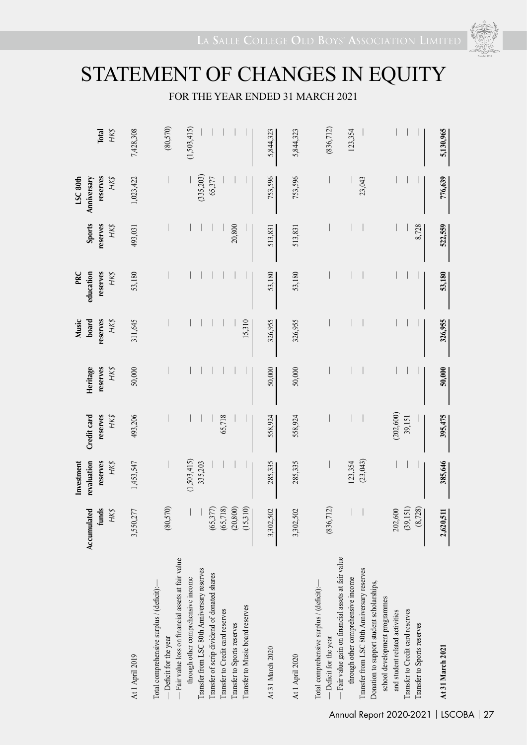# STATEMENT OF CHANGES IN EQUITY

FOR THE YEAR ENDED 31 MARCH 2021

|                                                                                             |                       | Investment  |             |          | Music    | PRC       |               | LSC 80th            |              |
|---------------------------------------------------------------------------------------------|-----------------------|-------------|-------------|----------|----------|-----------|---------------|---------------------|--------------|
|                                                                                             | Accumulated           | revaluation | Credit card | Heritage | board    | education | <b>Sports</b> | Anniversary         |              |
|                                                                                             | funds                 | reserves    | reserves    | reserves | reserves | reserves  | reserves      | reserves            | <b>Total</b> |
|                                                                                             | HK\$                  | HK\$        | HK\$        | HK\$     | HK\$     | HK\$      | HK\$          | HK\$                | HK\$         |
| At 1 April 2019                                                                             | 3,550,277             | 1,453,547   | 493,206     | 50,000   | 311,645  | 53,180    | 493,031       | 1,023,422           | 7,428,308    |
| Total comprehensive surplus / (deficit) :-<br>- Deficit for the year                        | 570)<br>(80,          |             |             |          |          |           |               |                     | (80,570)     |
| Fair value loss on financial assets at fair value<br>through other comprehensive income     |                       | (1,503,415) |             |          |          |           |               |                     | (1,503,415)  |
| Transfer from LSC 80th Anniversary reserves<br>Transfer of scrip dividend of donated shares | (65,377)              | 335,203     |             |          |          |           |               | (335,203)<br>65,377 |              |
| Transfer to Credit card reserves                                                            | 718)<br>(65,          |             | 65,718      |          |          |           |               |                     |              |
| Transfer to Sports reserves                                                                 | ,800)<br>(20,         |             |             |          |          |           | 20,800        |                     |              |
| Transfer to Music board reserves                                                            | 310)<br>(15,          |             |             |          | 15,310   |           |               |                     |              |
| At 31 March 2020                                                                            | 502<br>3,302,         | 285,335     | 558,924     | 50,000   | 326,955  | 53,180    | 513,831       | 753,596             | 5,844,323    |
| At 1 April 2020                                                                             | 3,302,502             | 285,335     | 558,924     | 50,000   | 326,955  | 53,180    | 513,831       | 753,596             | 5,844,323    |
| Total comprehensive surplus / (deficit) :-<br>- Deficit for the year                        | 712)<br>(836,         |             |             |          |          |           |               |                     | (836, 712)   |
| Fair value gain on financial assets at fair value<br>through other comprehensive income     |                       | 123,354     |             |          |          |           |               |                     | 123,354      |
| Transfer from LSC 80th Anniversary reserves                                                 |                       | (23,043)    |             |          |          |           |               | 23,043              |              |
| Donation to support student scholarships,<br>school development programmes                  |                       |             |             |          |          |           |               |                     |              |
| and student related activities                                                              | 202,600               |             | (202, 600)  |          |          |           |               |                     |              |
| Transfer to Credit card reserves                                                            | (39, 151)             |             | 39,151      |          |          |           |               |                     |              |
| Transfer to Sports reserves                                                                 | 728)<br>$\circled{s}$ |             |             |          |          |           | 8,728         |                     |              |
| At 31 March 2021                                                                            | 2,620,511             | 385,646     | 395,475     | 50,000   | 326,955  | 53,180    | 522,559       | 776,639             | 5,130,965    |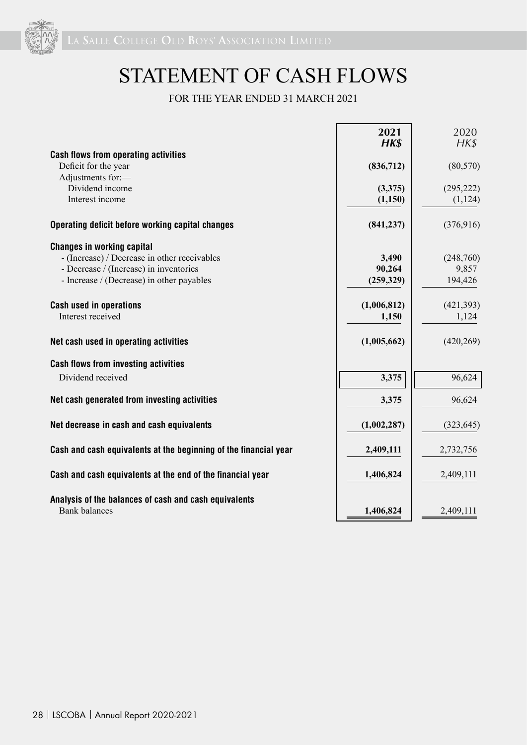

# STATEMENT OF CASH FLOWS

FOR THE YEAR ENDED 31 MARCH 2021

|                                                                               | 2021<br>HK\$ | 2020<br>$H K$ \$ |
|-------------------------------------------------------------------------------|--------------|------------------|
| <b>Cash flows from operating activities</b>                                   |              |                  |
| Deficit for the year                                                          | (836,712)    | (80, 570)        |
| Adjustments for:-                                                             |              |                  |
| Dividend income                                                               | (3,375)      | (295, 222)       |
| Interest income                                                               | (1,150)      | (1, 124)         |
| Operating deficit before working capital changes                              | (841, 237)   | (376, 916)       |
| <b>Changes in working capital</b>                                             |              |                  |
| - (Increase) / Decrease in other receivables                                  | 3,490        | (248,760)        |
| - Decrease / (Increase) in inventories                                        | 90,264       | 9,857            |
| - Increase / (Decrease) in other payables                                     | (259, 329)   | 194,426          |
| <b>Cash used in operations</b>                                                | (1,006,812)  | (421, 393)       |
| Interest received                                                             | 1,150        | 1,124            |
| Net cash used in operating activities                                         | (1,005,662)  | (420, 269)       |
| <b>Cash flows from investing activities</b>                                   |              |                  |
| Dividend received                                                             | 3,375        | 96,624           |
| Net cash generated from investing activities                                  | 3,375        | 96,624           |
| Net decrease in cash and cash equivalents                                     | (1,002,287)  | (323, 645)       |
| Cash and cash equivalents at the beginning of the financial year              | 2,409,111    | 2,732,756        |
| Cash and cash equivalents at the end of the financial year                    | 1,406,824    | 2,409,111        |
| Analysis of the balances of cash and cash equivalents<br><b>Bank</b> balances | 1,406,824    | 2,409,111        |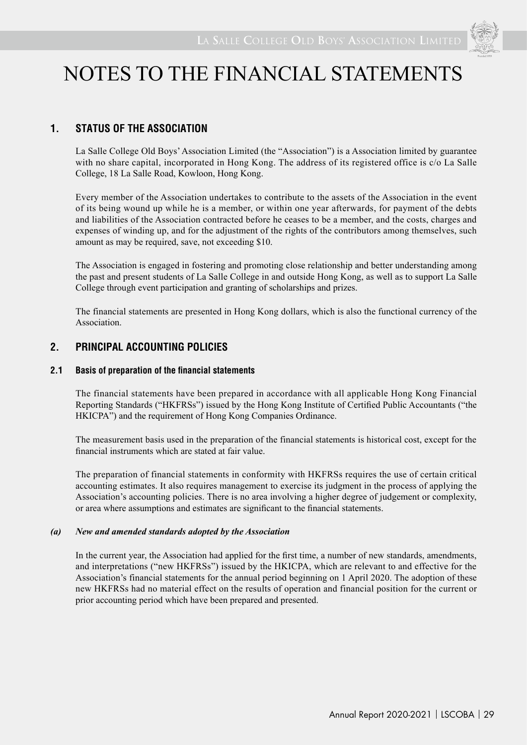# **1. STATUS OF THE ASSOCIATION**

La Salle College Old Boys' Association Limited (the "Association") is a Association limited by guarantee with no share capital, incorporated in Hong Kong. The address of its registered office is c/o La Salle College, 18 La Salle Road, Kowloon, Hong Kong.

Every member of the Association undertakes to contribute to the assets of the Association in the event of its being wound up while he is a member, or within one year afterwards, for payment of the debts and liabilities of the Association contracted before he ceases to be a member, and the costs, charges and expenses of winding up, and for the adjustment of the rights of the contributors among themselves, such amount as may be required, save, not exceeding \$10.

The Association is engaged in fostering and promoting close relationship and better understanding among the past and present students of La Salle College in and outside Hong Kong, as well as to support La Salle College through event participation and granting of scholarships and prizes.

The financial statements are presented in Hong Kong dollars, which is also the functional currency of the Association.

### **2. PRINCIPAL ACCOUNTING POLICIES**

#### **2.1 Basis of preparation of the financial statements**

The financial statements have been prepared in accordance with all applicable Hong Kong Financial Reporting Standards ("HKFRSs") issued by the Hong Kong Institute of Certified Public Accountants ("the HKICPA") and the requirement of Hong Kong Companies Ordinance.

The measurement basis used in the preparation of the financial statements is historical cost, except for the financial instruments which are stated at fair value.

The preparation of financial statements in conformity with HKFRSs requires the use of certain critical accounting estimates. It also requires management to exercise its judgment in the process of applying the Association's accounting policies. There is no area involving a higher degree of judgement or complexity, or area where assumptions and estimates are significant to the financial statements.

#### *(a) New and amended standards adopted by the Association*

In the current year, the Association had applied for the first time, a number of new standards, amendments, and interpretations ("new HKFRSs") issued by the HKICPA, which are relevant to and effective for the Association's financial statements for the annual period beginning on 1 April 2020. The adoption of these new HKFRSs had no material effect on the results of operation and financial position for the current or prior accounting period which have been prepared and presented.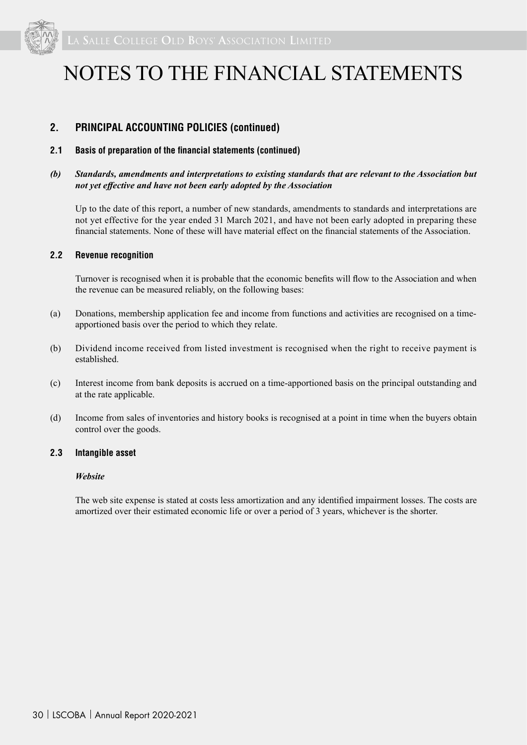

# **2. PRINCIPAL ACCOUNTING POLICIES (continued)**

#### **2.1 Basis of preparation of the financial statements (continued)**

*(b) Standards, amendments and interpretations to existing standards that are relevant to the Association but not yet effective and have not been early adopted by the Association*

Up to the date of this report, a number of new standards, amendments to standards and interpretations are not yet effective for the year ended 31 March 2021, and have not been early adopted in preparing these financial statements. None of these will have material effect on the financial statements of the Association.

#### **2.2 Revenue recognition**

Turnover is recognised when it is probable that the economic benefits will flow to the Association and when the revenue can be measured reliably, on the following bases:

- (a) Donations, membership application fee and income from functions and activities are recognised on a timeapportioned basis over the period to which they relate.
- (b) Dividend income received from listed investment is recognised when the right to receive payment is established.
- (c) Interest income from bank deposits is accrued on a time-apportioned basis on the principal outstanding and at the rate applicable.
- (d) Income from sales of inventories and history books is recognised at a point in time when the buyers obtain control over the goods.

#### **2.3 Intangible asset**

#### *Website*

The web site expense is stated at costs less amortization and any identified impairment losses. The costs are amortized over their estimated economic life or over a period of 3 years, whichever is the shorter.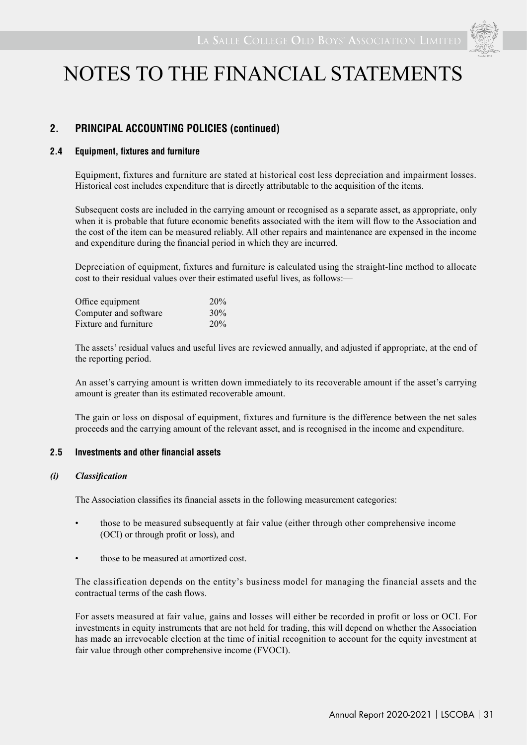

# **2. PRINCIPAL ACCOUNTING POLICIES (continued)**

### **2.4 Equipment, fixtures and furniture**

Equipment, fixtures and furniture are stated at historical cost less depreciation and impairment losses. Historical cost includes expenditure that is directly attributable to the acquisition of the items.

Subsequent costs are included in the carrying amount or recognised as a separate asset, as appropriate, only when it is probable that future economic benefits associated with the item will flow to the Association and the cost of the item can be measured reliably. All other repairs and maintenance are expensed in the income and expenditure during the financial period in which they are incurred.

Depreciation of equipment, fixtures and furniture is calculated using the straight-line method to allocate cost to their residual values over their estimated useful lives, as follows:—

| Office equipment      | 20% |
|-----------------------|-----|
| Computer and software | 30% |
| Fixture and furniture | 20% |

The assets' residual values and useful lives are reviewed annually, and adjusted if appropriate, at the end of the reporting period.

An asset's carrying amount is written down immediately to its recoverable amount if the asset's carrying amount is greater than its estimated recoverable amount.

The gain or loss on disposal of equipment, fixtures and furniture is the difference between the net sales proceeds and the carrying amount of the relevant asset, and is recognised in the income and expenditure.

#### **2.5 Investments and other financial assets**

#### *(i) Classification*

The Association classifies its financial assets in the following measurement categories:

- those to be measured subsequently at fair value (either through other comprehensive income (OCI) or through profit or loss), and
- those to be measured at amortized cost.

The classification depends on the entity's business model for managing the financial assets and the contractual terms of the cash flows.

For assets measured at fair value, gains and losses will either be recorded in profit or loss or OCI. For investments in equity instruments that are not held for trading, this will depend on whether the Association has made an irrevocable election at the time of initial recognition to account for the equity investment at fair value through other comprehensive income (FVOCI).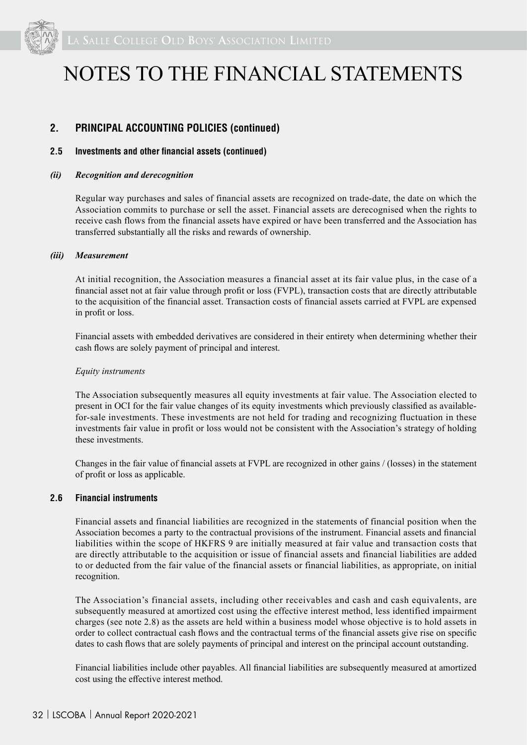

# **2. PRINCIPAL ACCOUNTING POLICIES (continued)**

#### **2.5 Investments and other financial assets (continued)**

#### *(ii) Recognition and derecognition*

Regular way purchases and sales of financial assets are recognized on trade-date, the date on which the Association commits to purchase or sell the asset. Financial assets are derecognised when the rights to receive cash flows from the financial assets have expired or have been transferred and the Association has transferred substantially all the risks and rewards of ownership.

#### *(iii) Measurement*

At initial recognition, the Association measures a financial asset at its fair value plus, in the case of a financial asset not at fair value through profit or loss (FVPL), transaction costs that are directly attributable to the acquisition of the financial asset. Transaction costs of financial assets carried at FVPL are expensed in profit or loss.

Financial assets with embedded derivatives are considered in their entirety when determining whether their cash flows are solely payment of principal and interest.

#### *Equity instruments*

The Association subsequently measures all equity investments at fair value. The Association elected to present in OCI for the fair value changes of its equity investments which previously classified as availablefor-sale investments. These investments are not held for trading and recognizing fluctuation in these investments fair value in profit or loss would not be consistent with the Association's strategy of holding these investments.

Changes in the fair value of financial assets at FVPL are recognized in other gains / (losses) in the statement of profit or loss as applicable.

#### **2.6 Financial instruments**

Financial assets and financial liabilities are recognized in the statements of financial position when the Association becomes a party to the contractual provisions of the instrument. Financial assets and financial liabilities within the scope of HKFRS 9 are initially measured at fair value and transaction costs that are directly attributable to the acquisition or issue of financial assets and financial liabilities are added to or deducted from the fair value of the financial assets or financial liabilities, as appropriate, on initial recognition.

The Association's financial assets, including other receivables and cash and cash equivalents, are subsequently measured at amortized cost using the effective interest method, less identified impairment charges (see note 2.8) as the assets are held within a business model whose objective is to hold assets in order to collect contractual cash flows and the contractual terms of the financial assets give rise on specific dates to cash flows that are solely payments of principal and interest on the principal account outstanding.

Financial liabilities include other payables. All financial liabilities are subsequently measured at amortized cost using the effective interest method.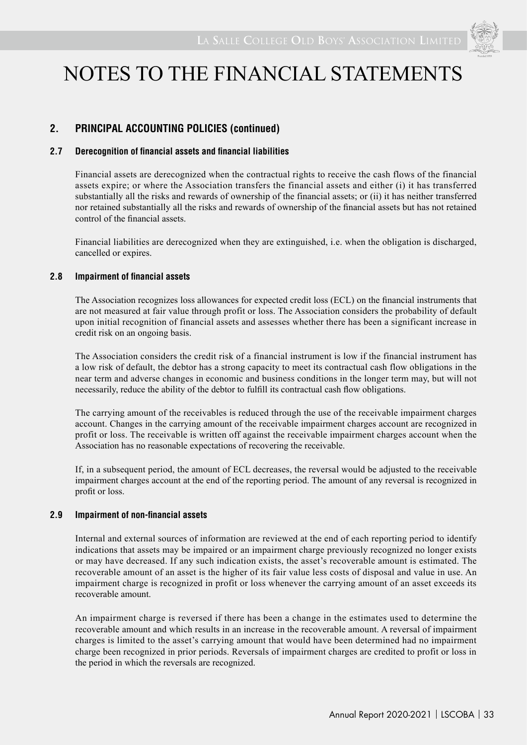

# **2. PRINCIPAL ACCOUNTING POLICIES (continued)**

### **2.7 Derecognition of financial assets and financial liabilities**

Financial assets are derecognized when the contractual rights to receive the cash flows of the financial assets expire; or where the Association transfers the financial assets and either (i) it has transferred substantially all the risks and rewards of ownership of the financial assets; or (ii) it has neither transferred nor retained substantially all the risks and rewards of ownership of the financial assets but has not retained control of the financial assets.

Financial liabilities are derecognized when they are extinguished, i.e. when the obligation is discharged, cancelled or expires.

### **2.8 Impairment of financial assets**

The Association recognizes loss allowances for expected credit loss (ECL) on the financial instruments that are not measured at fair value through profit or loss. The Association considers the probability of default upon initial recognition of financial assets and assesses whether there has been a significant increase in credit risk on an ongoing basis.

The Association considers the credit risk of a financial instrument is low if the financial instrument has a low risk of default, the debtor has a strong capacity to meet its contractual cash flow obligations in the near term and adverse changes in economic and business conditions in the longer term may, but will not necessarily, reduce the ability of the debtor to fulfill its contractual cash flow obligations.

The carrying amount of the receivables is reduced through the use of the receivable impairment charges account. Changes in the carrying amount of the receivable impairment charges account are recognized in profit or loss. The receivable is written off against the receivable impairment charges account when the Association has no reasonable expectations of recovering the receivable.

If, in a subsequent period, the amount of ECL decreases, the reversal would be adjusted to the receivable impairment charges account at the end of the reporting period. The amount of any reversal is recognized in profit or loss.

#### **2.9 Impairment of non-financial assets**

Internal and external sources of information are reviewed at the end of each reporting period to identify indications that assets may be impaired or an impairment charge previously recognized no longer exists or may have decreased. If any such indication exists, the asset's recoverable amount is estimated. The recoverable amount of an asset is the higher of its fair value less costs of disposal and value in use. An impairment charge is recognized in profit or loss whenever the carrying amount of an asset exceeds its recoverable amount.

An impairment charge is reversed if there has been a change in the estimates used to determine the recoverable amount and which results in an increase in the recoverable amount. A reversal of impairment charges is limited to the asset's carrying amount that would have been determined had no impairment charge been recognized in prior periods. Reversals of impairment charges are credited to profit or loss in the period in which the reversals are recognized.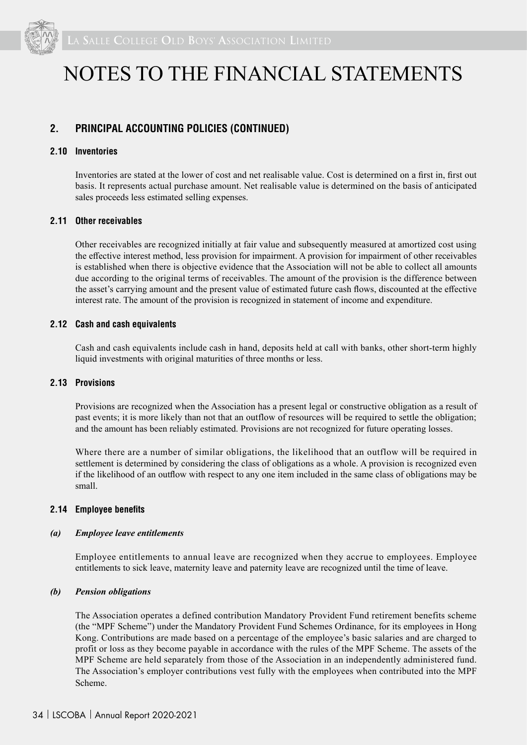

# **2. PRINCIPAL ACCOUNTING POLICIES (CONTINUED)**

#### **2.10 Inventories**

Inventories are stated at the lower of cost and net realisable value. Cost is determined on a first in, first out basis. It represents actual purchase amount. Net realisable value is determined on the basis of anticipated sales proceeds less estimated selling expenses.

#### **2.11 Other receivables**

Other receivables are recognized initially at fair value and subsequently measured at amortized cost using the effective interest method, less provision for impairment. A provision for impairment of other receivables is established when there is objective evidence that the Association will not be able to collect all amounts due according to the original terms of receivables. The amount of the provision is the difference between the asset's carrying amount and the present value of estimated future cash flows, discounted at the effective interest rate. The amount of the provision is recognized in statement of income and expenditure.

#### **2.12 Cash and cash equivalents**

Cash and cash equivalents include cash in hand, deposits held at call with banks, other short-term highly liquid investments with original maturities of three months or less.

#### **2.13 Provisions**

Provisions are recognized when the Association has a present legal or constructive obligation as a result of past events; it is more likely than not that an outflow of resources will be required to settle the obligation; and the amount has been reliably estimated. Provisions are not recognized for future operating losses.

Where there are a number of similar obligations, the likelihood that an outflow will be required in settlement is determined by considering the class of obligations as a whole. A provision is recognized even if the likelihood of an outflow with respect to any one item included in the same class of obligations may be small.

#### **2.14 Employee benefits**

#### *(a) Employee leave entitlements*

Employee entitlements to annual leave are recognized when they accrue to employees. Employee entitlements to sick leave, maternity leave and paternity leave are recognized until the time of leave.

#### *(b) Pension obligations*

The Association operates a defined contribution Mandatory Provident Fund retirement benefits scheme (the "MPF Scheme") under the Mandatory Provident Fund Schemes Ordinance, for its employees in Hong Kong. Contributions are made based on a percentage of the employee's basic salaries and are charged to profit or loss as they become payable in accordance with the rules of the MPF Scheme. The assets of the MPF Scheme are held separately from those of the Association in an independently administered fund. The Association's employer contributions vest fully with the employees when contributed into the MPF Scheme.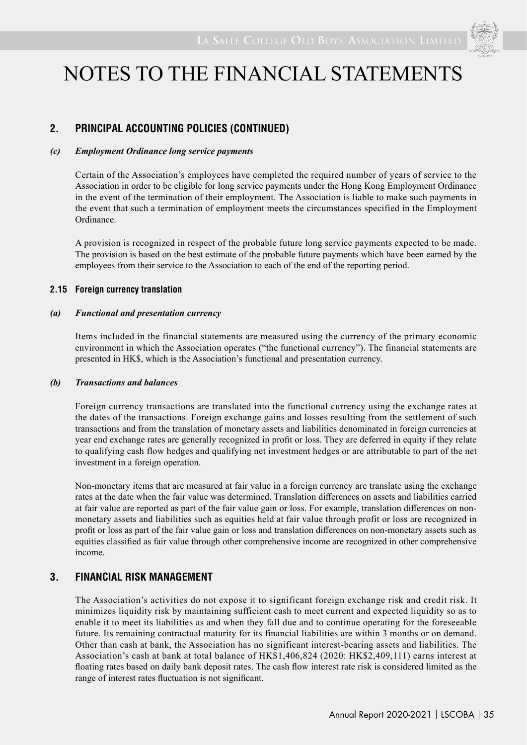

# **2. PRINCIPAL ACCOUNTING POLICIES (CONTINUED)**

#### *(c) Employment Ordinance long service payments*

Certain of the Association's employees have completed the required number of years of service to the Association in order to be eligible for long service payments under the Hong Kong Employment Ordinance in the event of the termination of their employment. The Association is liable to make such payments in the event that such a termination of employment meets the circumstances specified in the Employment Ordinance.

A provision is recognized in respect of the probable future long service payments expected to be made. The provision is based on the best estimate of the probable future payments which have been earned by the employees from their service to the Association to each of the end of the reporting period.

### **2.15 Foreign currency translation**

#### *(a) Functional and presentation currency*

Items included in the financial statements are measured using the currency of the primary economic environment in which the Association operates ("the functional currency"). The financial statements are presented in HK\$, which is the Association's functional and presentation currency.

#### *(b) Transactions and balances*

Foreign currency transactions are translated into the functional currency using the exchange rates at the dates of the transactions. Foreign exchange gains and losses resulting from the settlement of such transactions and from the translation of monetary assets and liabilities denominated in foreign currencies at year end exchange rates are generally recognized in profit or loss. They are deferred in equity if they relate to qualifying cash flow hedges and qualifying net investment hedges or are attributable to part of the net investment in a foreign operation.

Non-monetary items that are measured at fair value in a foreign currency are translate using the exchange rates at the date when the fair value was determined. Translation differences on assets and liabilities carried at fair value are reported as part of the fair value gain or loss. For example, translation differences on nonmonetary assets and liabilities such as equities held at fair value through profit or loss are recognized in profit or loss as part of the fair value gain or loss and translation differences on non-monetary assets such as equities classified as fair value through other comprehensive income are recognized in other comprehensive income.

# **3. FINANCIAL RISK MANAGEMENT**

The Association's activities do not expose it to significant foreign exchange risk and credit risk. It minimizes liquidity risk by maintaining sufficient cash to meet current and expected liquidity so as to enable it to meet its liabilities as and when they fall due and to continue operating for the foreseeable future. Its remaining contractual maturity for its financial liabilities are within 3 months or on demand. Other than cash at bank, the Association has no significant interest-bearing assets and liabilities. The Association's cash at bank at total balance of HK\$1,406,824 (2020: HK\$2,409,111) earns interest at floating rates based on daily bank deposit rates. The cash flow interest rate risk is considered limited as the range of interest rates fluctuation is not significant.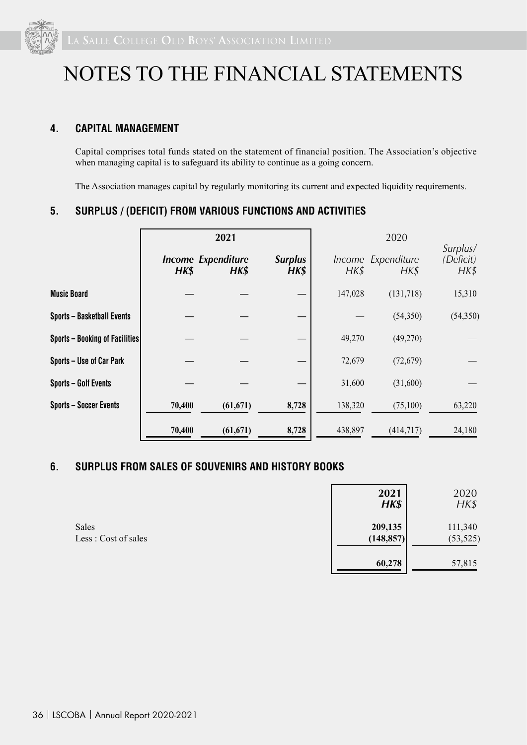

### **4. CAPITAL MANAGEMENT**

Capital comprises total funds stated on the statement of financial position. The Association's objective when managing capital is to safeguard its ability to continue as a going concern.

The Association manages capital by regularly monitoring its current and expected liquidity requirements.

# **5. SURPLUS / (DEFICIT) FROM VARIOUS FUNCTIONS AND ACTIVITIES**

|                                | 2021   |                                   |                        | 2020    |                                |                                   |
|--------------------------------|--------|-----------------------------------|------------------------|---------|--------------------------------|-----------------------------------|
|                                | HK\$   | <b>Income Expenditure</b><br>HK\$ | <b>Surplus</b><br>HK\$ | HK\$    | Income Expenditure<br>$H K$ \$ | Surplus/<br>(Deficit)<br>$H K$ \$ |
| <b>Music Board</b>             |        |                                   |                        | 147,028 | (131,718)                      | 15,310                            |
| Sports - Basketball Events     |        |                                   |                        |         | (54,350)                       | (54, 350)                         |
| Sports - Booking of Facilities |        |                                   |                        | 49,270  | (49,270)                       |                                   |
| Sports - Use of Car Park       |        |                                   |                        | 72,679  | (72,679)                       |                                   |
| Sports - Golf Events           |        |                                   |                        | 31,600  | (31,600)                       |                                   |
| <b>Sports - Soccer Events</b>  | 70,400 | (61, 671)                         | 8,728                  | 138,320 | (75,100)                       | 63,220                            |
|                                | 70,400 | (61, 671)                         | 8,728                  | 438,897 | (414, 717)                     | 24,180                            |

### **6. SURPLUS FROM SALES OF SOUVENIRS AND HISTORY BOOKS**

|                               | 2021<br>$H K$ \$      | 2020<br>$H K$ \$     |
|-------------------------------|-----------------------|----------------------|
| Sales<br>Less : Cost of sales | 209,135<br>(148, 857) | 111,340<br>(53, 525) |
|                               | 60,278                | 57,815               |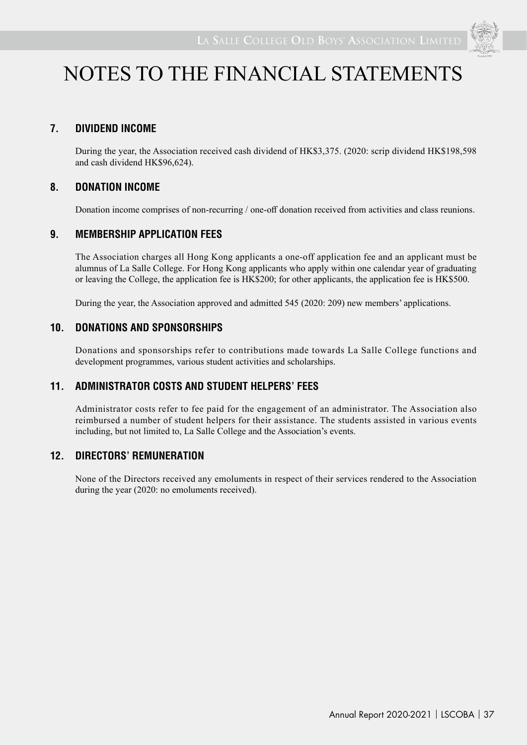

# **7. DIVIDEND INCOME**

During the year, the Association received cash dividend of HK\$3,375. (2020: scrip dividend HK\$198,598 and cash dividend HK\$96,624).

# **8. DONATION INCOME**

Donation income comprises of non-recurring / one-off donation received from activities and class reunions.

# **9. MEMBERSHIP APPLICATION FEES**

The Association charges all Hong Kong applicants a one-off application fee and an applicant must be alumnus of La Salle College. For Hong Kong applicants who apply within one calendar year of graduating or leaving the College, the application fee is HK\$200; for other applicants, the application fee is HK\$500.

During the year, the Association approved and admitted 545 (2020: 209) new members' applications.

# **10. DONATIONS AND SPONSORSHIPS**

Donations and sponsorships refer to contributions made towards La Salle College functions and development programmes, various student activities and scholarships.

# **11. ADMINISTRATOR COSTS AND STUDENT HELPERS' FEES**

Administrator costs refer to fee paid for the engagement of an administrator. The Association also reimbursed a number of student helpers for their assistance. The students assisted in various events including, but not limited to, La Salle College and the Association's events.

# **12. DIRECTORS' REMUNERATION**

None of the Directors received any emoluments in respect of their services rendered to the Association during the year (2020: no emoluments received).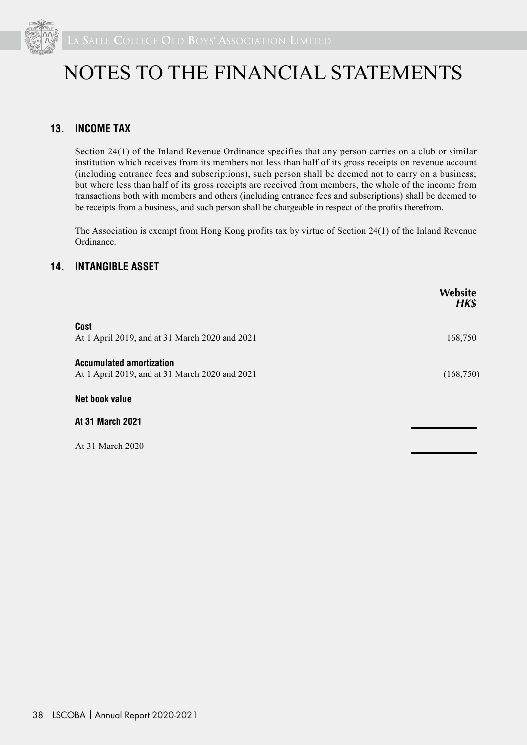

# **13. INCOME TAX**

Section 24(1) of the Inland Revenue Ordinance specifies that any person carries on a club or similar institution which receives from its members not less than half of its gross receipts on revenue account (including entrance fees and subscriptions), such person shall be deemed not to carry on a business; but where less than half of its gross receipts are received from members, the whole of the income from transactions both with members and others (including entrance fees and subscriptions) shall be deemed to be receipts from a business, and such person shall be chargeable in respect of the profits therefrom.

The Association is exempt from Hong Kong profits tax by virtue of Section 24(1) of the Inland Revenue Ordinance.

### **14. INTANGIBLE ASSET**

|                                                                                   | <b>Website</b><br>$H K$ \$ |
|-----------------------------------------------------------------------------------|----------------------------|
| <b>Cost</b><br>At 1 April 2019, and at 31 March 2020 and 2021                     | 168,750                    |
| <b>Accumulated amortization</b><br>At 1 April 2019, and at 31 March 2020 and 2021 | (168,750)                  |
| Net book value                                                                    |                            |
| <b>At 31 March 2021</b>                                                           |                            |
| At 31 March 2020                                                                  |                            |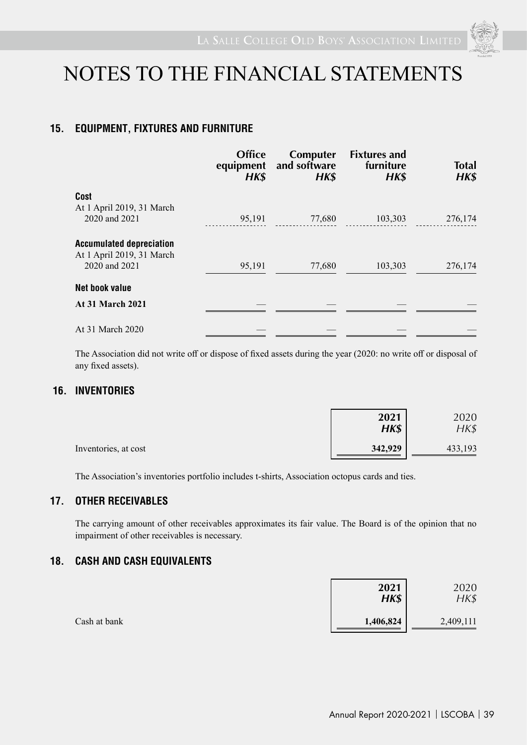

# **15. EQUIPMENT, FIXTURES AND FURNITURE**

|                                                                               | <b>Office</b><br>equipment<br>HK\$ | Computer<br>and software<br>HK\$ | <b>Fixtures and</b><br>furniture<br>HK\$ | <b>Total</b><br>HK\$ |
|-------------------------------------------------------------------------------|------------------------------------|----------------------------------|------------------------------------------|----------------------|
| Cost                                                                          |                                    |                                  |                                          |                      |
| At 1 April 2019, 31 March                                                     |                                    |                                  |                                          |                      |
| 2020 and 2021                                                                 | 95,191                             | 77,680                           | 103,303                                  | 276,174              |
| <b>Accumulated depreciation</b><br>At 1 April 2019, 31 March<br>2020 and 2021 | 95,191                             | 77,680                           | 103,303                                  | 276,174              |
| Net book value                                                                |                                    |                                  |                                          |                      |
| <b>At 31 March 2021</b>                                                       |                                    |                                  |                                          |                      |
| At 31 March 2020                                                              |                                    |                                  |                                          |                      |

The Association did not write off or dispose of fixed assets during the year (2020: no write off or disposal of any fixed assets).

### **16. INVENTORIES**

|                      | 2021<br>HK\$ | 2020<br>HK\$ |
|----------------------|--------------|--------------|
| Inventories, at cost | 342,929      | 433,193      |

The Association's inventories portfolio includes t-shirts, Association octopus cards and ties.

### **17. OTHER RECEIVABLES**

The carrying amount of other receivables approximates its fair value. The Board is of the opinion that no impairment of other receivables is necessary.

### **18. CASH AND CASH EQUIVALENTS**

|              | 2021<br>$H K$ \$ | 2020<br>HK\$ |
|--------------|------------------|--------------|
| Cash at bank | 1,406,824        | 2,409,111    |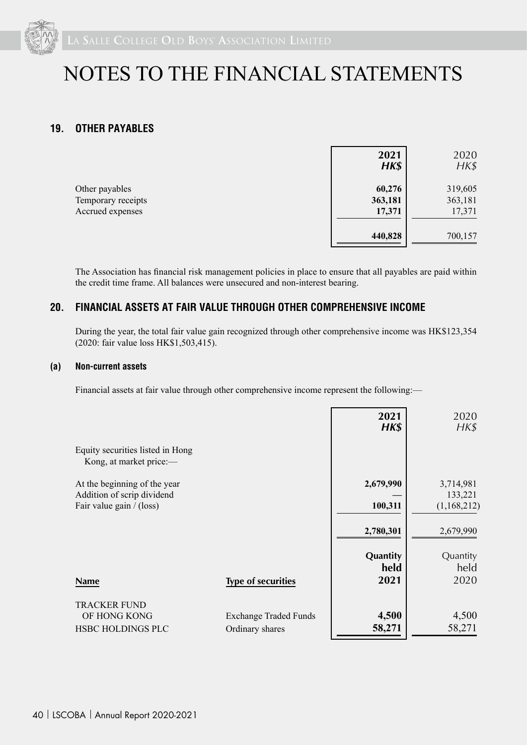

# **19. OTHER PAYABLES**

|                    | 2021<br>$H K$ \$ | 2020<br>$H K$ \$ |
|--------------------|------------------|------------------|
| Other payables     | 60,276           | 319,605          |
| Temporary receipts | 363,181          | 363,181          |
| Accrued expenses   | 17,371           | 17,371           |
|                    | 440,828          | 700,157          |

The Association has financial risk management policies in place to ensure that all payables are paid within the credit time frame. All balances were unsecured and non-interest bearing.

### **20. FINANCIAL ASSETS AT FAIR VALUE THROUGH OTHER COMPREHENSIVE INCOME**

During the year, the total fair value gain recognized through other comprehensive income was HK\$123,354 (2020: fair value loss HK\$1,503,415).

#### **(a) Non-current assets**

Financial assets at fair value through other comprehensive income represent the following:—

|                                                             |                              | 2021<br>HK\$ | 2020<br>$H K$ \$ |
|-------------------------------------------------------------|------------------------------|--------------|------------------|
| Equity securities listed in Hong<br>Kong, at market price:- |                              |              |                  |
| At the beginning of the year                                |                              | 2,679,990    | 3,714,981        |
| Addition of scrip dividend                                  |                              |              | 133,221          |
| Fair value gain / (loss)                                    |                              | 100,311      | (1,168,212)      |
|                                                             |                              | 2,780,301    | 2,679,990        |
|                                                             |                              | Quantity     | Quantity         |
|                                                             |                              | held         | held             |
| <b>Name</b>                                                 | <b>Type of securities</b>    | 2021         | 2020             |
| <b>TRACKER FUND</b>                                         |                              |              |                  |
| OF HONG KONG                                                | <b>Exchange Traded Funds</b> | 4,500        | 4,500            |
| HSBC HOLDINGS PLC                                           | Ordinary shares              | 58,271       | 58,271           |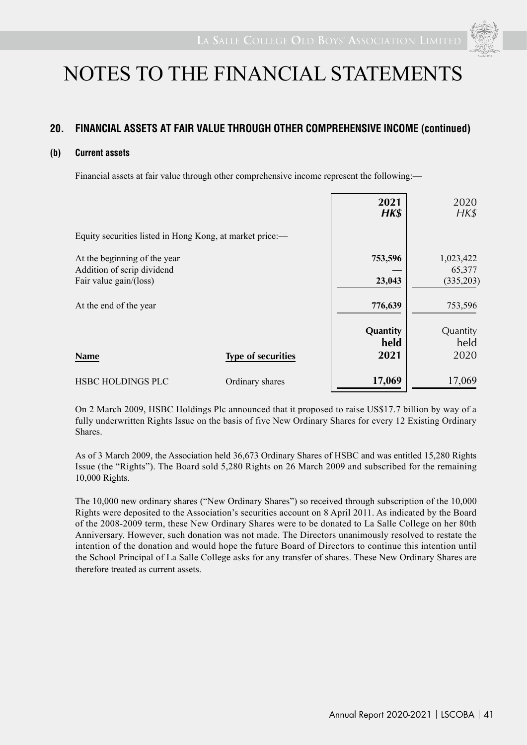# **20. FINANCIAL ASSETS AT FAIR VALUE THROUGH OTHER COMPREHENSIVE INCOME (continued)**

#### **(b) Current assets**

Financial assets at fair value through other comprehensive income represent the following:—

|                                                                                      |                           | 2021<br>HK\$                        | 2020<br>$H K$ \$                    |
|--------------------------------------------------------------------------------------|---------------------------|-------------------------------------|-------------------------------------|
| Equity securities listed in Hong Kong, at market price:—                             |                           |                                     |                                     |
| At the beginning of the year<br>Addition of scrip dividend<br>Fair value gain/(loss) |                           | 753,596<br>23,043                   | 1,023,422<br>65,377<br>(335,203)    |
| At the end of the year<br><b>Name</b>                                                | <b>Type of securities</b> | 776,639<br>Quantity<br>held<br>2021 | 753,596<br>Quantity<br>held<br>2020 |
| HSBC HOLDINGS PLC                                                                    | Ordinary shares           | 17,069                              | 17,069                              |

On 2 March 2009, HSBC Holdings Plc announced that it proposed to raise US\$17.7 billion by way of a fully underwritten Rights Issue on the basis of five New Ordinary Shares for every 12 Existing Ordinary Shares.

As of 3 March 2009, the Association held 36,673 Ordinary Shares of HSBC and was entitled 15,280 Rights Issue (the "Rights"). The Board sold 5,280 Rights on 26 March 2009 and subscribed for the remaining 10,000 Rights.

The 10,000 new ordinary shares ("New Ordinary Shares") so received through subscription of the 10,000 Rights were deposited to the Association's securities account on 8 April 2011. As indicated by the Board of the 2008-2009 term, these New Ordinary Shares were to be donated to La Salle College on her 80th Anniversary. However, such donation was not made. The Directors unanimously resolved to restate the intention of the donation and would hope the future Board of Directors to continue this intention until the School Principal of La Salle College asks for any transfer of shares. These New Ordinary Shares are therefore treated as current assets.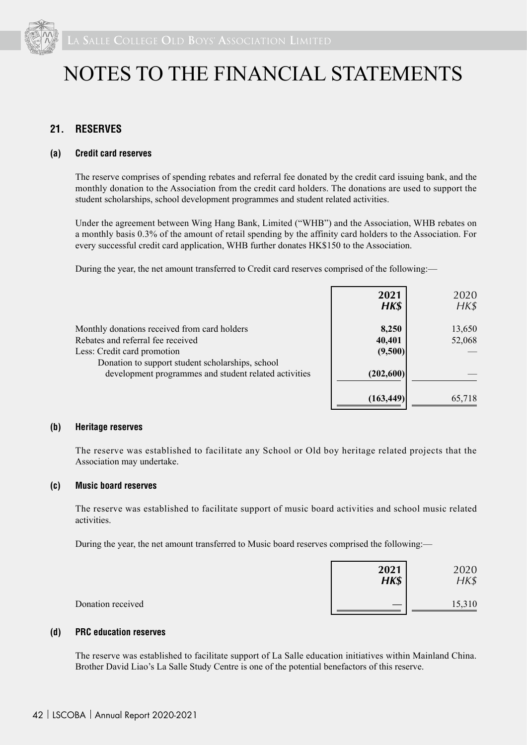

# **21. RESERVES**

#### **(a) Credit card reserves**

The reserve comprises of spending rebates and referral fee donated by the credit card issuing bank, and the monthly donation to the Association from the credit card holders. The donations are used to support the student scholarships, school development programmes and student related activities.

Under the agreement between Wing Hang Bank, Limited ("WHB") and the Association, WHB rebates on a monthly basis 0.3% of the amount of retail spending by the affinity card holders to the Association. For every successful credit card application, WHB further donates HK\$150 to the Association.

During the year, the net amount transferred to Credit card reserves comprised of the following:—

|                                                                                 | 2021<br>HK\$ | 2020<br>$H K$ \$ |
|---------------------------------------------------------------------------------|--------------|------------------|
| Monthly donations received from card holders                                    | 8,250        |                  |
| Rebates and referral fee received                                               | 40,401       | 13,650<br>52,068 |
| Less: Credit card promotion<br>Donation to support student scholarships, school | (9,500)      |                  |
| development programmes and student related activities                           | (202, 600)   |                  |
|                                                                                 | (163, 449)   | 65,718           |

#### **(b) Heritage reserves**

The reserve was established to facilitate any School or Old boy heritage related projects that the Association may undertake.

#### **(c) Music board reserves**

The reserve was established to facilitate support of music board activities and school music related activities.

During the year, the net amount transferred to Music board reserves comprised the following:—

| 2021<br>HK\$ | 2020<br>$H K$ \$ |
|--------------|------------------|
|              | 15,310           |

**Donation received** 

#### **(d) PRC education reserves**

The reserve was established to facilitate support of La Salle education initiatives within Mainland China. Brother David Liao's La Salle Study Centre is one of the potential benefactors of this reserve.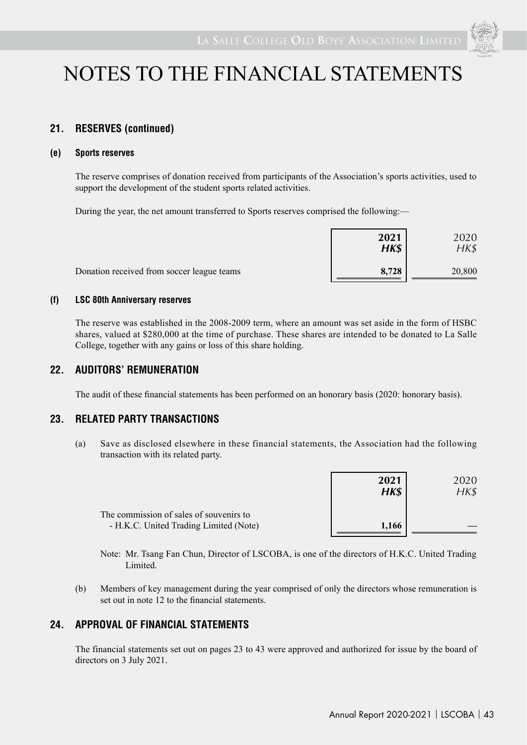

# **21. RESERVES (continued)**

#### **(e) Sports reserves**

The reserve comprises of donation received from participants of the Association's sports activities, used to support the development of the student sports related activities.

During the year, the net amount transferred to Sports reserves comprised the following:—

| 2021<br>HK\$ | 2020<br>$H K$ \$ |
|--------------|------------------|
| 8,728        | 20,800           |

#### **(f) LSC 80th Anniversary reserves**

Donation received from soccer league teams

The reserve was established in the 2008-2009 term, where an amount was set aside in the form of HSBC shares, valued at \$280,000 at the time of purchase. These shares are intended to be donated to La Salle College, together with any gains or loss of this share holding.

### **22. AUDITORS' REMUNERATION**

The audit of these financial statements has been performed on an honorary basis (2020: honorary basis).

# **23. RELATED PARTY TRANSACTIONS**

(a) Save as disclosed elsewhere in these financial statements, the Association had the following transaction with its related party.

|                                         | 2021<br>HK\$ | 2020<br>HK\$ |
|-----------------------------------------|--------------|--------------|
| The commission of sales of souvenirs to |              |              |
| - H.K.C. United Trading Limited (Note)  | 1,166        |              |

Note: Mr. Tsang Fan Chun, Director of LSCOBA, is one of the directors of H.K.C. United Trading Limited.

(b) Members of key management during the year comprised of only the directors whose remuneration is set out in note 12 to the financial statements.

# **24. APPROVAL OF FINANCIAL STATEMENTS**

The financial statements set out on pages 23 to 43 were approved and authorized for issue by the board of directors on 3 July 2021.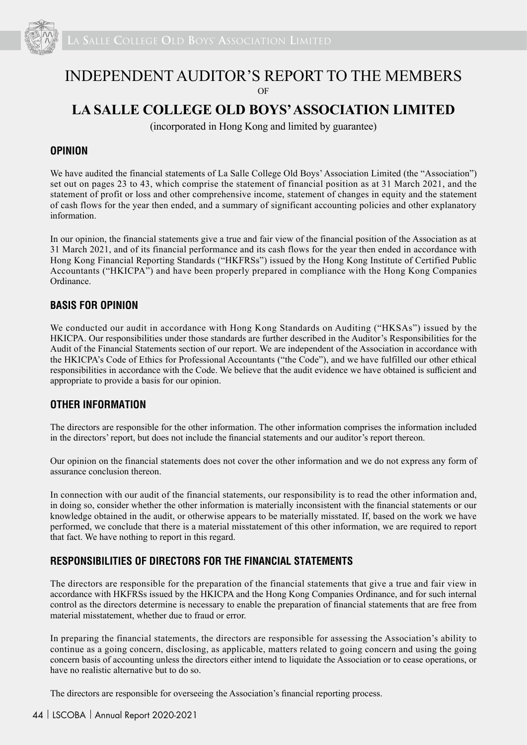

# INDEPENDENT AUDITOR'S REPORT TO THE MEMBERS OF

# **LA SALLE COLLEGE OLD BOYS' ASSOCIATION LIMITED**

(incorporated in Hong Kong and limited by guarantee)

# **OPINION**

We have audited the financial statements of La Salle College Old Boys' Association Limited (the "Association") set out on pages 23 to 43, which comprise the statement of financial position as at 31 March 2021, and the statement of profit or loss and other comprehensive income, statement of changes in equity and the statement of cash flows for the year then ended, and a summary of significant accounting policies and other explanatory information.

In our opinion, the financial statements give a true and fair view of the financial position of the Association as at 31 March 2021, and of its financial performance and its cash flows for the year then ended in accordance with Hong Kong Financial Reporting Standards ("HKFRSs") issued by the Hong Kong Institute of Certified Public Accountants ("HKICPA") and have been properly prepared in compliance with the Hong Kong Companies Ordinance.

# **BASIS FOR OPINION**

We conducted our audit in accordance with Hong Kong Standards on Auditing ("HKSAs") issued by the HKICPA. Our responsibilities under those standards are further described in the Auditor's Responsibilities for the Audit of the Financial Statements section of our report. We are independent of the Association in accordance with the HKICPA's Code of Ethics for Professional Accountants ("the Code"), and we have fulfilled our other ethical responsibilities in accordance with the Code. We believe that the audit evidence we have obtained is sufficient and appropriate to provide a basis for our opinion.

### **OTHER INFORMATION**

The directors are responsible for the other information. The other information comprises the information included in the directors' report, but does not include the financial statements and our auditor's report thereon.

Our opinion on the financial statements does not cover the other information and we do not express any form of assurance conclusion thereon.

In connection with our audit of the financial statements, our responsibility is to read the other information and, in doing so, consider whether the other information is materially inconsistent with the financial statements or our knowledge obtained in the audit, or otherwise appears to be materially misstated. If, based on the work we have performed, we conclude that there is a material misstatement of this other information, we are required to report that fact. We have nothing to report in this regard.

# **RESPONSIBILITIES OF DIRECTORS FOR THE FINANCIAL STATEMENTS**

The directors are responsible for the preparation of the financial statements that give a true and fair view in accordance with HKFRSs issued by the HKICPA and the Hong Kong Companies Ordinance, and for such internal control as the directors determine is necessary to enable the preparation of financial statements that are free from material misstatement, whether due to fraud or error.

In preparing the financial statements, the directors are responsible for assessing the Association's ability to continue as a going concern, disclosing, as applicable, matters related to going concern and using the going concern basis of accounting unless the directors either intend to liquidate the Association or to cease operations, or have no realistic alternative but to do so.

The directors are responsible for overseeing the Association's financial reporting process.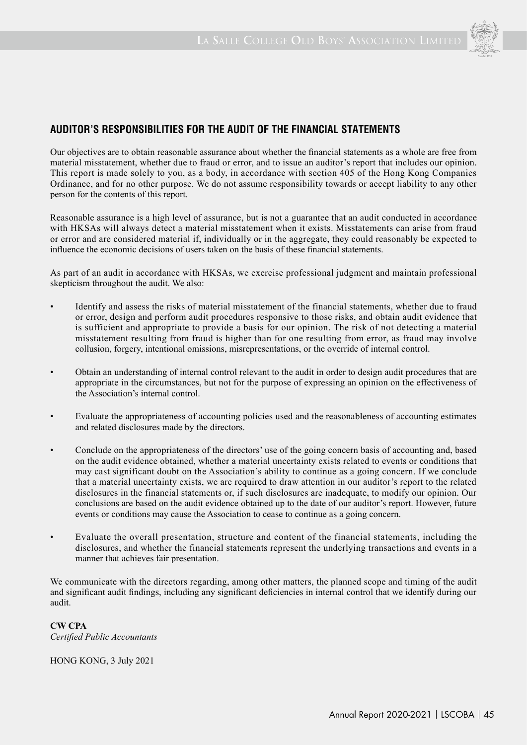

# **AUDITOR'S RESPONSIBILITIES FOR THE AUDIT OF THE FINANCIAL STATEMENTS**

Our objectives are to obtain reasonable assurance about whether the financial statements as a whole are free from material misstatement, whether due to fraud or error, and to issue an auditor's report that includes our opinion. This report is made solely to you, as a body, in accordance with section 405 of the Hong Kong Companies Ordinance, and for no other purpose. We do not assume responsibility towards or accept liability to any other person for the contents of this report.

Reasonable assurance is a high level of assurance, but is not a guarantee that an audit conducted in accordance with HKSAs will always detect a material misstatement when it exists. Misstatements can arise from fraud or error and are considered material if, individually or in the aggregate, they could reasonably be expected to influence the economic decisions of users taken on the basis of these financial statements.

As part of an audit in accordance with HKSAs, we exercise professional judgment and maintain professional skepticism throughout the audit. We also:

- Identify and assess the risks of material misstatement of the financial statements, whether due to fraud or error, design and perform audit procedures responsive to those risks, and obtain audit evidence that is sufficient and appropriate to provide a basis for our opinion. The risk of not detecting a material misstatement resulting from fraud is higher than for one resulting from error, as fraud may involve collusion, forgery, intentional omissions, misrepresentations, or the override of internal control.
- Obtain an understanding of internal control relevant to the audit in order to design audit procedures that are appropriate in the circumstances, but not for the purpose of expressing an opinion on the effectiveness of the Association's internal control.
- Evaluate the appropriateness of accounting policies used and the reasonableness of accounting estimates and related disclosures made by the directors.
- Conclude on the appropriateness of the directors' use of the going concern basis of accounting and, based on the audit evidence obtained, whether a material uncertainty exists related to events or conditions that may cast significant doubt on the Association's ability to continue as a going concern. If we conclude that a material uncertainty exists, we are required to draw attention in our auditor's report to the related disclosures in the financial statements or, if such disclosures are inadequate, to modify our opinion. Our conclusions are based on the audit evidence obtained up to the date of our auditor's report. However, future events or conditions may cause the Association to cease to continue as a going concern.
- Evaluate the overall presentation, structure and content of the financial statements, including the disclosures, and whether the financial statements represent the underlying transactions and events in a manner that achieves fair presentation.

We communicate with the directors regarding, among other matters, the planned scope and timing of the audit and significant audit findings, including any significant deficiencies in internal control that we identify during our audit.

**CW CPA** *Certified Public Accountants*

HONG KONG, 3 July 2021